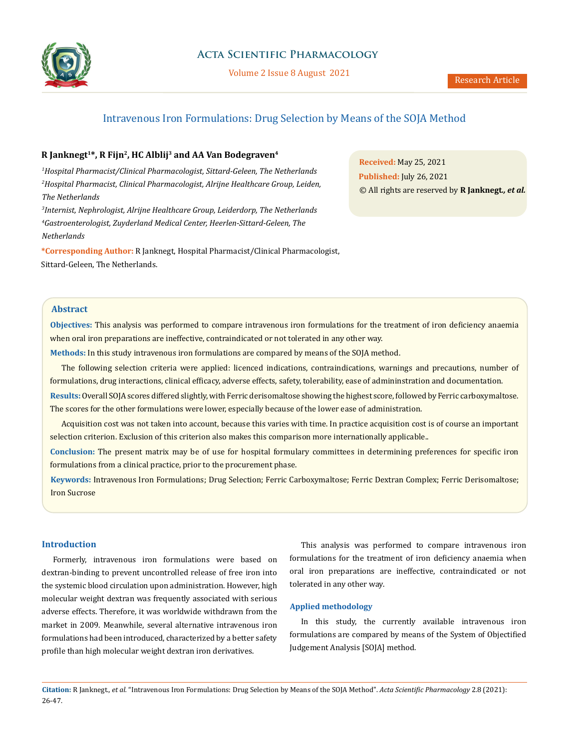

# **Acta Scientific Pharmacology**

Volume 2 Issue 8 August 2021

# Intravenous Iron Formulations: Drug Selection by Means of the SOJA Method

# **R Janknegt1\*, R Fijn2, HC Alblij3 and AA Van Bodegraven4**

*1 Hospital Pharmacist/Clinical Pharmacologist, Sittard-Geleen, The Netherlands 2 Hospital Pharmacist, Clinical Pharmacologist, Alrijne Healthcare Group, Leiden, The Netherlands*

*3 Internist, Nephrologist, Alrijne Healthcare Group, Leiderdorp, The Netherlands 4 Gastroenterologist, Zuyderland Medical Center, Heerlen-Sittard-Geleen, The Netherlands*

**\*Corresponding Author:** R Janknegt, Hospital Pharmacist/Clinical Pharmacologist, Sittard-Geleen, The Netherlands.

**Received:** May 25, 2021 **Published:** July 26, 2021 © All rights are reserved by **R Janknegt***., et al.*

# **Abstract**

**Objectives:** This analysis was performed to compare intravenous iron formulations for the treatment of iron deficiency anaemia when oral iron preparations are ineffective, contraindicated or not tolerated in any other way.

**Methods:** In this study intravenous iron formulations are compared by means of the SOJA method.

The following selection criteria were applied: licenced indications, contraindications, warnings and precautions, number of formulations, drug interactions, clinical efficacy, adverse effects, safety, tolerability, ease of admininstration and documentation.

**Results:** Overall SOJA scores differed slightly, with Ferric derisomaltose showing the highest score, followed by Ferric carboxymaltose. The scores for the other formulations were lower, especially because of the lower ease of administration.

Acquisition cost was not taken into account, because this varies with time. In practice acquisition cost is of course an important selection criterion. Exclusion of this criterion also makes this comparison more internationally applicable..

**Conclusion:** The present matrix may be of use for hospital formulary committees in determining preferences for specific iron formulations from a clinical practice, prior to the procurement phase.

**Keywords:** Intravenous Iron Formulations; Drug Selection; Ferric Carboxymaltose; Ferric Dextran Complex; Ferric Derisomaltose; Iron Sucrose

# **Introduction**

Formerly, intravenous iron formulations were based on dextran-binding to prevent uncontrolled release of free iron into the systemic blood circulation upon administration. However, high molecular weight dextran was frequently associated with serious adverse effects. Therefore, it was worldwide withdrawn from the market in 2009. Meanwhile, several alternative intravenous iron formulations had been introduced, characterized by a better safety profile than high molecular weight dextran iron derivatives.

This analysis was performed to compare intravenous iron formulations for the treatment of iron deficiency anaemia when oral iron preparations are ineffective, contraindicated or not tolerated in any other way.

## **Applied methodology**

In this study, the currently available intravenous iron formulations are compared by means of the System of Objectified Judgement Analysis [SOJA] method.

**Citation:** R Janknegt*., et al.* "Intravenous Iron Formulations: Drug Selection by Means of the SOJA Method". *Acta Scientific Pharmacology* 2.8 (2021): 26-47.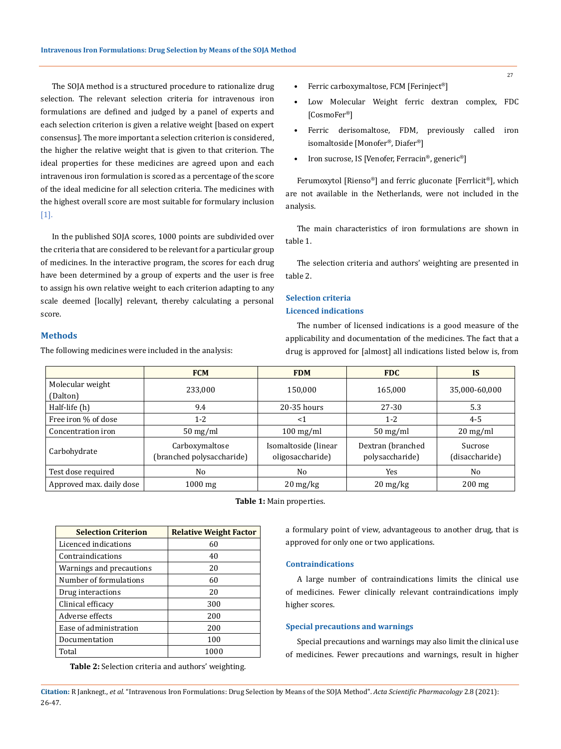The SOJA method is a structured procedure to rationalize drug selection. The relevant selection criteria for intravenous iron formulations are defined and judged by a panel of experts and each selection criterion is given a relative weight [based on expert consensus]. The more important a selection criterion is considered, the higher the relative weight that is given to that criterion. The ideal properties for these medicines are agreed upon and each intravenous iron formulation is scored as a percentage of the score of the ideal medicine for all selection criteria. The medicines with the highest overall score are most suitable for formulary inclusion [1].

In the published SOJA scores, 1000 points are subdivided over the criteria that are considered to be relevant for a particular group of medicines. In the interactive program, the scores for each drug have been determined by a group of experts and the user is free to assign his own relative weight to each criterion adapting to any scale deemed [locally] relevant, thereby calculating a personal score.

## **Methods**

The following medicines were included in the analysis:

- Ferric carboxymaltose, FCM [Ferinject®]
- Low Molecular Weight ferric dextran complex, FDC [CosmoFer®]
- Ferric derisomaltose, FDM, previously called iron isomaltoside [Monofer®, Diafer®]
- Iron sucrose, IS [Venofer, Ferracin®, generic®]

Ferumoxytol [Rienso®] and ferric gluconate [Ferrlicit®], which are not available in the Netherlands, were not included in the analysis.

The main characteristics of iron formulations are shown in table 1.

The selection criteria and authors' weighting are presented in table 2.

# **Selection criteria**

# **Licenced indications**

The number of licensed indications is a good measure of the applicability and documentation of the medicines. The fact that a drug is approved for [almost] all indications listed below is, from

|                          | <b>FCM</b>                                  | <b>FDM</b>                               | <b>FDC</b>                           | <b>IS</b>                 |
|--------------------------|---------------------------------------------|------------------------------------------|--------------------------------------|---------------------------|
| Molecular weight         | 233,000                                     | 150.000                                  | 165.000                              | 35,000-60,000             |
| (Dalton)                 |                                             |                                          |                                      |                           |
| Half-life (h)            | 9.4                                         | $20-35$ hours                            | 27-30                                | 5.3                       |
| Free iron % of dose      | $1-2$                                       | <1                                       | $1 - 2$                              | $4 - 5$                   |
| Concentration iron       | $50 \,\mathrm{mg/ml}$                       | $100 \,\mathrm{mg/ml}$                   | $50 \,\mathrm{mg/ml}$                | $20 \,\mathrm{mg/ml}$     |
| Carbohydrate             | Carboxymaltose<br>(branched polysaccharide) | Isomaltoside (linear<br>oligosaccharide) | Dextran (branched<br>polysaccharide) | Sucrose<br>(disaccharide) |
| Test dose required       | N <sub>0</sub>                              | No                                       | Yes                                  | N <sub>0</sub>            |
| Approved max. daily dose | $1000 \text{ mg}$                           | $20 \,\mathrm{mg/kg}$                    | $20 \frac{\text{mg}}{\text{kg}}$     | $200 \text{ mg}$          |

**Table 1:** Main properties.

| <b>Selection Criterion</b> | <b>Relative Weight Factor</b> |
|----------------------------|-------------------------------|
| Licenced indications       | 60                            |
| Contraindications          | 40                            |
| Warnings and precautions   | 20                            |
| Number of formulations     | 60                            |
| Drug interactions          | 20                            |
| Clinical efficacy          | 300                           |
| Adverse effects            | 200                           |
| Ease of administration     | 200                           |
| Documentation              | 100                           |
| Total                      | 1000                          |

**Table 2:** Selection criteria and authors' weighting.

a formulary point of view, advantageous to another drug, that is approved for only one or two applications.

## **Contraindications**

A large number of contraindications limits the clinical use of medicines. Fewer clinically relevant contraindications imply higher scores.

## **Special precautions and warnings**

Special precautions and warnings may also limit the clinical use of medicines. Fewer precautions and warnings, result in higher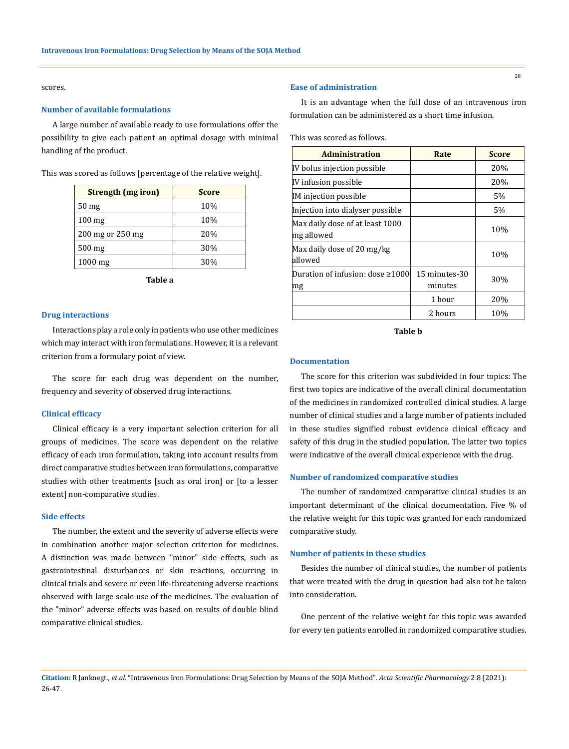scores.

### **Number of available formulations**

A large number of available ready to use formulations offer the possibility to give each patient an optimal dosage with minimal handling of the product.

This was scored as follows [percentage of the relative weight].

| Strength (mg iron) | <b>Score</b> |
|--------------------|--------------|
| 50 <sub>mg</sub>   | 10%          |
| $100 \text{ mg}$   | 10%          |
| 200 mg or 250 mg   | 20%          |
| $500$ mg           | 30%          |
| $1000$ mg          | 30%          |

**Table a**

### **Drug interactions**

Interactions play a role only in patients who use other medicines which may interact with iron formulations. However, it is a relevant criterion from a formulary point of view.

The score for each drug was dependent on the number, frequency and severity of observed drug interactions.

### **Clinical efficacy**

Clinical efficacy is a very important selection criterion for all groups of medicines. The score was dependent on the relative efficacy of each iron formulation, taking into account results from direct comparative studies between iron formulations, comparative studies with other treatments [such as oral iron] or [to a lesser extent] non-comparative studies.

#### **Side effects**

The number, the extent and the severity of adverse effects were in combination another major selection criterion for medicines. A distinction was made between "minor" side effects, such as gastrointestinal disturbances or skin reactions, occurring in clinical trials and severe or even life-threatening adverse reactions observed with large scale use of the medicines. The evaluation of the "minor" adverse effects was based on results of double blind comparative clinical studies.

### **Ease of administration**

It is an advantage when the full dose of an intravenous iron formulation can be administered as a short time infusion.

This was scored as follows.

| <b>Administration</b>                         | Rate                     | <b>Score</b> |
|-----------------------------------------------|--------------------------|--------------|
| IV bolus injection possible                   |                          | 20%          |
| IV infusion possible                          |                          | 20%          |
| IM injection possible                         |                          | 5%           |
| Injection into dialyser possible              |                          | 5%           |
| Max daily dose of at least 1000<br>mg allowed |                          | 10%          |
| Max daily dose of 20 mg/kg<br>allowed         |                          | 10%          |
| Duration of infusion: dose $\geq 1000$<br>mg  | 15 minutes-30<br>minutes | 30%          |
|                                               | 1 hour                   | 20%          |
|                                               | 2 hours                  | 10%          |

**Table b**

#### **Documentation**

The score for this criterion was subdivided in four topics: The first two topics are indicative of the overall clinical documentation of the medicines in randomized controlled clinical studies. A large number of clinical studies and a large number of patients included in these studies signified robust evidence clinical efficacy and safety of this drug in the studied population. The latter two topics were indicative of the overall clinical experience with the drug.

#### **Number of randomized comparative studies**

The number of randomized comparative clinical studies is an important determinant of the clinical documentation. Five % of the relative weight for this topic was granted for each randomized comparative study.

#### **Number of patients in these studies**

Besides the number of clinical studies, the number of patients that were treated with the drug in question had also tot be taken into consideration.

One percent of the relative weight for this topic was awarded for every ten patients enrolled in randomized comparative studies.

**Citation:** R Janknegt*., et al.* "Intravenous Iron Formulations: Drug Selection by Means of the SOJA Method". *Acta Scientific Pharmacology* 2.8 (2021): 26-47.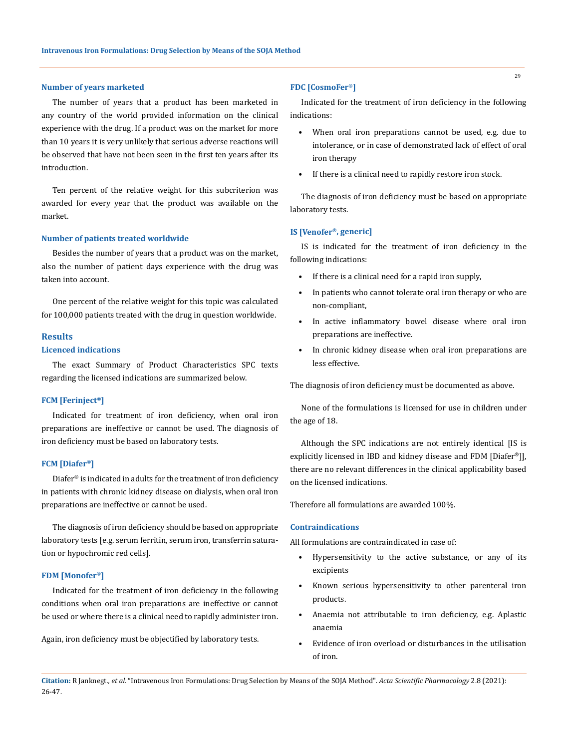### **Number of years marketed**

The number of years that a product has been marketed in any country of the world provided information on the clinical experience with the drug. If a product was on the market for more than 10 years it is very unlikely that serious adverse reactions will be observed that have not been seen in the first ten years after its introduction.

Ten percent of the relative weight for this subcriterion was awarded for every year that the product was available on the market.

### **Number of patients treated worldwide**

Besides the number of years that a product was on the market, also the number of patient days experience with the drug was taken into account.

One percent of the relative weight for this topic was calculated for 100,000 patients treated with the drug in question worldwide.

#### **Results**

# **Licenced indications**

The exact Summary of Product Characteristics SPC texts regarding the licensed indications are summarized below.

### **FCM [Ferinject®]**

Indicated for treatment of iron deficiency, when oral iron preparations are ineffective or cannot be used. The diagnosis of iron deficiency must be based on laboratory tests.

### **FCM [Diafer®]**

Diafer® is indicated in adults for the treatment of iron deficiency in patients with chronic kidney disease on dialysis, when oral iron preparations are ineffective or cannot be used.

The diagnosis of iron deficiency should be based on appropriate laboratory tests [e.g. serum ferritin, serum iron, transferrin saturation or hypochromic red cells].

#### **FDM [Monofer®]**

Indicated for the treatment of iron deficiency in the following conditions when oral iron preparations are ineffective or cannot be used or where there is a clinical need to rapidly administer iron.

Again, iron deficiency must be objectified by laboratory tests.

### **FDC [CosmoFer®]**

Indicated for the treatment of iron deficiency in the following indications:

- When oral iron preparations cannot be used, e.g. due to intolerance, or in case of demonstrated lack of effect of oral iron therapy
- If there is a clinical need to rapidly restore iron stock.

The diagnosis of iron deficiency must be based on appropriate laboratory tests.

### **IS [Venofer®, generic]**

IS is indicated for the treatment of iron deficiency in the following indications:

- If there is a clinical need for a rapid iron supply,
- In patients who cannot tolerate oral iron therapy or who are non-compliant,
- In active inflammatory bowel disease where oral iron preparations are ineffective.
- In chronic kidney disease when oral iron preparations are less effective.

The diagnosis of iron deficiency must be documented as above.

None of the formulations is licensed for use in children under the age of 18.

Although the SPC indications are not entirely identical [IS is explicitly licensed in IBD and kidney disease and FDM [Diafer®]], there are no relevant differences in the clinical applicability based on the licensed indications.

Therefore all formulations are awarded 100%.

### **Contraindications**

All formulations are contraindicated in case of:

- Hypersensitivity to the active substance, or any of its excipients
- Known serious hypersensitivity to other parenteral iron products.
- Anaemia not attributable to iron deficiency, e.g. Aplastic anaemia
- Evidence of iron overload or disturbances in the utilisation of iron.

**Citation:** R Janknegt*., et al.* "Intravenous Iron Formulations: Drug Selection by Means of the SOJA Method". *Acta Scientific Pharmacology* 2.8 (2021): 26-47.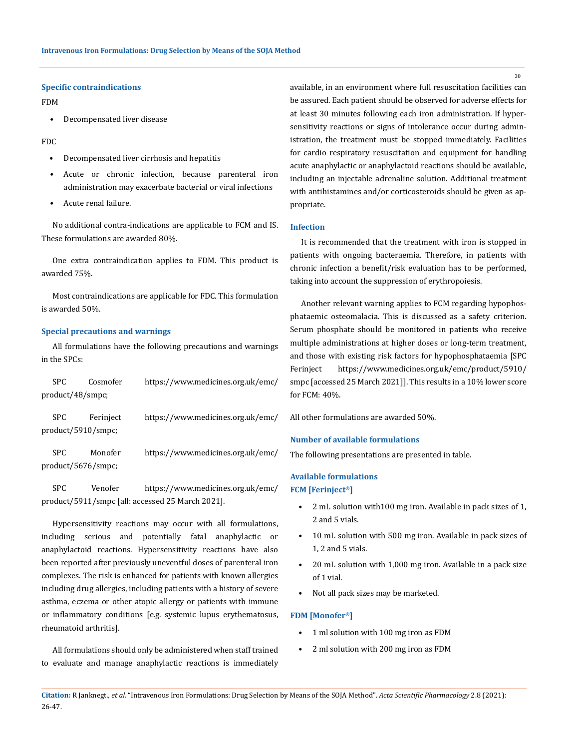### **Specific contraindications**

FDM

• Decompensated liver disease

FDC

- Decompensated liver cirrhosis and hepatitis
- Acute or chronic infection, because parenteral iron administration may exacerbate bacterial or viral infections
- Acute renal failure.

No additional contra-indications are applicable to FCM and IS. These formulations are awarded 80%.

One extra contraindication applies to FDM. This product is awarded 75%.

Most contraindications are applicable for FDC. This formulation is awarded 50%.

## **Special precautions and warnings**

All formulations have the following precautions and warnings in the SPCs:

| SPC –                      | Cosmofer  | https://www.medicines.org.uk/emc/ |
|----------------------------|-----------|-----------------------------------|
| product/48/smpc;           |           |                                   |
| SPC<br>product/5910/smpc;  | Ferinject | https://www.medicines.org.uk/emc/ |
| SPC.<br>product/5676/smpc; | Monofer   | https://www.medicines.org.uk/emc/ |

SPC Venofer [https://www.medicines.org.uk/emc/](https://www.medicines.org.uk/emc/product/5911/smpc) [product/5911/smpc](https://www.medicines.org.uk/emc/product/5911/smpc) [all: accessed 25 March 2021].

Hypersensitivity reactions may occur with all formulations, including serious and potentially fatal anaphylactic or anaphylactoid reactions. Hypersensitivity reactions have also been reported after previously uneventful doses of parenteral iron complexes. The risk is enhanced for patients with known allergies including drug allergies, including patients with a history of severe asthma, eczema or other atopic allergy or patients with immune or inflammatory conditions [e.g. systemic lupus erythematosus, rheumatoid arthritis].

All formulations should only be administered when staff trained to evaluate and manage anaphylactic reactions is immediately available, in an environment where full resuscitation facilities can be assured. Each patient should be observed for adverse effects for at least 30 minutes following each iron administration. If hypersensitivity reactions or signs of intolerance occur during administration, the treatment must be stopped immediately. Facilities for cardio respiratory resuscitation and equipment for handling acute anaphylactic or anaphylactoid reactions should be available, including an injectable adrenaline solution. Additional treatment with antihistamines and/or corticosteroids should be given as appropriate.

### **Infection**

It is recommended that the treatment with iron is stopped in patients with ongoing bacteraemia. Therefore, in patients with chronic infection a benefit/risk evaluation has to be performed, taking into account the suppression of erythropoiesis.

Another relevant warning applies to FCM regarding hypophosphataemic osteomalacia. This is discussed as a safety criterion. Serum phosphate should be monitored in patients who receive multiple administrations at higher doses or long-term treatment, and those with existing risk factors for hypophosphataemia [SPC Ferinject [https://www.medicines.org.uk/emc/product/5910/](https://www.medicines.org.uk/emc/product/5910/smpc) [smpc](https://www.medicines.org.uk/emc/product/5910/smpc) [accessed 25 March 2021]]. This results in a 10% lower score for FCM: 40%.

All other formulations are awarded 50%.

### **Number of available formulations**

The following presentations are presented in table.

# **Available formulations FCM [Ferinject®]**

- 2 mL solution with100 mg iron. Available in pack sizes of 1, 2 and 5 vials.
- 10 mL solution with 500 mg iron. Available in pack sizes of 1, 2 and 5 vials.
- 20 mL solution with 1,000 mg iron. Available in a pack size of 1 vial.
- Not all pack sizes may be marketed.

#### **FDM [Monofer®]**

- 1 ml solution with 100 mg iron as FDM
- 2 ml solution with 200 mg iron as FDM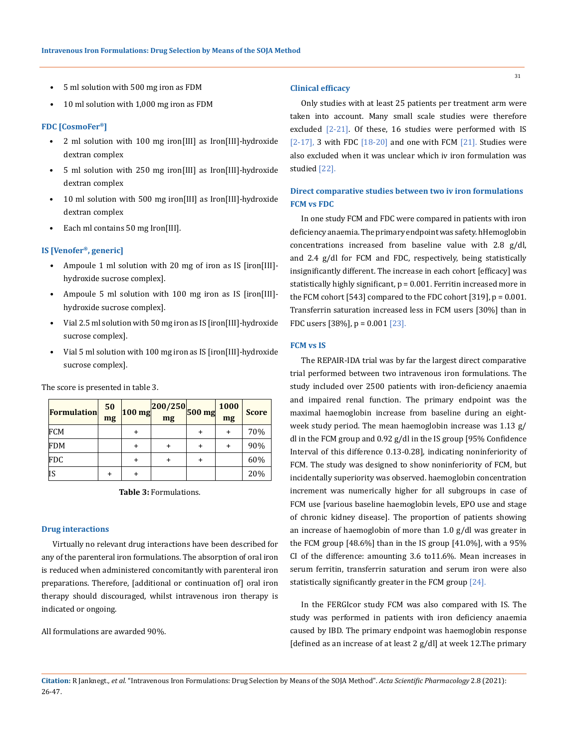- 5 ml solution with 500 mg iron as FDM
- 10 ml solution with 1,000 mg iron as FDM

### **FDC [CosmoFer®]**

- 2 ml solution with 100 mg iron[III] as Iron[III]-hydroxide dextran complex
- 5 ml solution with 250 mg iron[III] as Iron[III]-hydroxide dextran complex
- 10 ml solution with 500 mg iron[III] as Iron[III]-hydroxide dextran complex
- Each ml contains 50 mg Iron[III].

### **IS [Venofer®, generic]**

- Ampoule 1 ml solution with 20 mg of iron as IS [iron[III]hydroxide sucrose complex].
- Ampoule 5 ml solution with 100 mg iron as IS [iron[III] hydroxide sucrose complex].
- Vial 2.5 ml solution with 50 mg iron as IS [iron[III]-hydroxide sucrose complex].
- Vial 5 ml solution with 100 mg iron as IS [iron[III]-hydroxide sucrose complex].

| The score is presented in table 3. |  |
|------------------------------------|--|
|------------------------------------|--|

| <b>Formulation</b> | 50<br>mg | $100$ mg | 200/250 500 mg <sup>-</sup><br>mg |   | 1000<br>mg | <b>Score</b> |
|--------------------|----------|----------|-----------------------------------|---|------------|--------------|
| FCM                |          | ٠        |                                   |   |            | 70%          |
| <b>FDM</b>         |          | +        |                                   | + | $\ddot{}$  | 90%          |
| <b>FDC</b>         |          | +        |                                   | + |            | 60%          |
| IS                 |          | +        |                                   |   |            | 20%          |

**Table 3:** Formulations.

#### **Drug interactions**

Virtually no relevant drug interactions have been described for any of the parenteral iron formulations. The absorption of oral iron is reduced when administered concomitantly with parenteral iron preparations. Therefore, [additional or continuation of] oral iron therapy should discouraged, whilst intravenous iron therapy is indicated or ongoing.

All formulations are awarded 90%.

### **Clinical efficacy**

Only studies with at least 25 patients per treatment arm were taken into account. Many small scale studies were therefore excluded [2-21]. Of these, 16 studies were performed with IS [2-17], 3 with FDC  $[18-20]$  and one with FCM  $[21]$ . Studies were also excluded when it was unclear which iv iron formulation was studied [22].

# **Direct comparative studies between two iv iron formulations FCM vs FDC**

In one study FCM and FDC were compared in patients with iron deficiency anaemia. The primary endpoint was safety. hHemoglobin concentrations increased from baseline value with 2.8 g/dl, and 2.4 g/dl for FCM and FDC, respectively, being statistically insignificantly different. The increase in each cohort [efficacy] was statistically highly significant,  $p = 0.001$ . Ferritin increased more in the FCM cohort [543] compared to the FDC cohort [319],  $p = 0.001$ . Transferrin saturation increased less in FCM users [30%] than in FDC users [38%], p = 0.001 [23].

### **FCM vs IS**

The REPAIR-IDA trial was by far the largest direct comparative trial performed between two intravenous iron formulations. The study included over 2500 patients with iron-deficiency anaemia and impaired renal function. The primary endpoint was the maximal haemoglobin increase from baseline during an eightweek study period. The mean haemoglobin increase was 1.13 g/ dl in the FCM group and 0.92 g/dl in the IS group [95% Confidence Interval of this difference 0.13-0.28], indicating noninferiority of FCM. The study was designed to show noninferiority of FCM, but incidentally superiority was observed. haemoglobin concentration increment was numerically higher for all subgroups in case of FCM use [various baseline haemoglobin levels, EPO use and stage of chronic kidney disease]. The proportion of patients showing an increase of haemoglobin of more than 1.0 g/dl was greater in the FCM group [48.6%] than in the IS group [41.0%], with a 95% CI of the difference: amounting 3.6 to11.6%. Mean increases in serum ferritin, transferrin saturation and serum iron were also statistically significantly greater in the FCM group [24].

In the FERGIcor study FCM was also compared with IS. The study was performed in patients with iron deficiency anaemia caused by IBD. The primary endpoint was haemoglobin response [defined as an increase of at least  $2$  g/dl] at week 12. The primary

**Citation:** R Janknegt*., et al.* "Intravenous Iron Formulations: Drug Selection by Means of the SOJA Method". *Acta Scientific Pharmacology* 2.8 (2021): 26-47.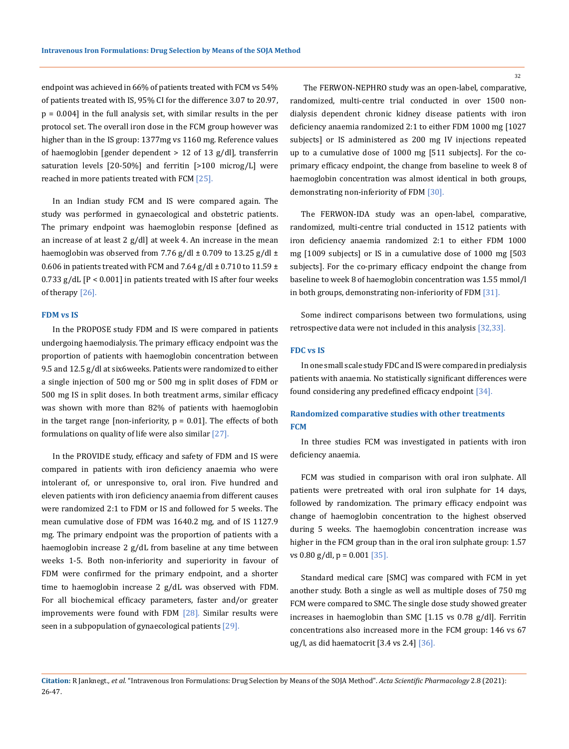endpoint was achieved in 66% of patients treated with FCM vs 54% of patients treated with IS, 95% CI for the difference 3.07 to 20.97, p = 0.004] in the full analysis set, with similar results in the per protocol set. The overall iron dose in the FCM group however was higher than in the IS group: 1377mg vs 1160 mg. Reference values of haemoglobin [gender dependent > 12 of 13 g/dl], transferrin saturation levels [20-50%] and ferritin [>100 microg/L] were reached in more patients treated with FCM [25].

In an Indian study FCM and IS were compared again. The study was performed in gynaecological and obstetric patients. The primary endpoint was haemoglobin response [defined as an increase of at least 2 g/dl] at week 4. An increase in the mean haemoglobin was observed from 7.76 g/dl  $\pm$  0.709 to 13.25 g/dl  $\pm$ 0.606 in patients treated with FCM and 7.64 g/dl  $\pm$  0.710 to 11.59  $\pm$  $0.733$  g/dL  $[P < 0.001]$  in patients treated with IS after four weeks of therapy [26].

### **FDM vs IS**

In the PROPOSE study FDM and IS were compared in patients undergoing haemodialysis. The primary efficacy endpoint was the proportion of patients with haemoglobin concentration between 9.5 and 12.5 g/dl at six6weeks. Patients were randomized to either a single injection of 500 mg or 500 mg in split doses of FDM or 500 mg IS in split doses. In both treatment arms, similar efficacy was shown with more than 82% of patients with haemoglobin in the target range [non-inferiority,  $p = 0.01$ ]. The effects of both formulations on quality of life were also similar  $[27]$ .

In the PROVIDE study, efficacy and safety of FDM and IS were compared in patients with iron deficiency anaemia who were intolerant of, or unresponsive to, oral iron. Five hundred and eleven patients with iron deficiency anaemia from different causes were randomized 2:1 to FDM or IS and followed for 5 weeks. The mean cumulative dose of FDM was 1640.2 mg, and of IS 1127.9 mg. The primary endpoint was the proportion of patients with a haemoglobin increase 2 g/dL from baseline at any time between weeks 1-5. Both non-inferiority and superiority in favour of FDM were confirmed for the primary endpoint, and a shorter time to haemoglobin increase 2 g/dL was observed with FDM. For all biochemical efficacy parameters, faster and/or greater improvements were found with FDM  $[28]$ . Similar results were seen in a subpopulation of gynaecological patients [29].

 The FERWON-NEPHRO study was an open-label, comparative, randomized, multi-centre trial conducted in over 1500 nondialysis dependent chronic kidney disease patients with iron deficiency anaemia randomized 2:1 to either FDM 1000 mg [1027 subjects] or IS administered as 200 mg IV injections repeated up to a cumulative dose of 1000 mg [511 subjects]. For the coprimary efficacy endpoint, the change from baseline to week 8 of haemoglobin concentration was almost identical in both groups, demonstrating non-inferiority of FDM [30].

The FERWON-IDA study was an open-label, comparative, randomized, multi-centre trial conducted in 1512 patients with iron deficiency anaemia randomized 2:1 to either FDM 1000 mg [1009 subjects] or IS in a cumulative dose of 1000 mg [503 subjects]. For the co-primary efficacy endpoint the change from baseline to week 8 of haemoglobin concentration was 1.55 mmol/l in both groups, demonstrating non-inferiority of FDM [31].

Some indirect comparisons between two formulations, using retrospective data were not included in this analysis [32,33].

### **FDC vs IS**

In one small scale study FDC and IS were compared in predialysis patients with anaemia. No statistically significant differences were found considering any predefined efficacy endpoint [34].

# **Randomized comparative studies with other treatments FCM**

In three studies FCM was investigated in patients with iron deficiency anaemia.

FCM was studied in comparison with oral iron sulphate. All patients were pretreated with oral iron sulphate for 14 days, followed by randomization. The primary efficacy endpoint was change of haemoglobin concentration to the highest observed during 5 weeks. The haemoglobin concentration increase was higher in the FCM group than in the oral iron sulphate group: 1.57 vs  $0.80$  g/dl, p =  $0.001$  [35].

Standard medical care [SMC] was compared with FCM in yet another study. Both a single as well as multiple doses of 750 mg FCM were compared to SMC. The single dose study showed greater increases in haemoglobin than SMC [1.15 vs 0.78 g/dl]. Ferritin concentrations also increased more in the FCM group: 146 vs 67 ug/l, as did haematocrit [3.4 vs 2.4]  $\lceil 36 \rceil$ .

**Citation:** R Janknegt*., et al.* "Intravenous Iron Formulations: Drug Selection by Means of the SOJA Method". *Acta Scientific Pharmacology* 2.8 (2021): 26-47.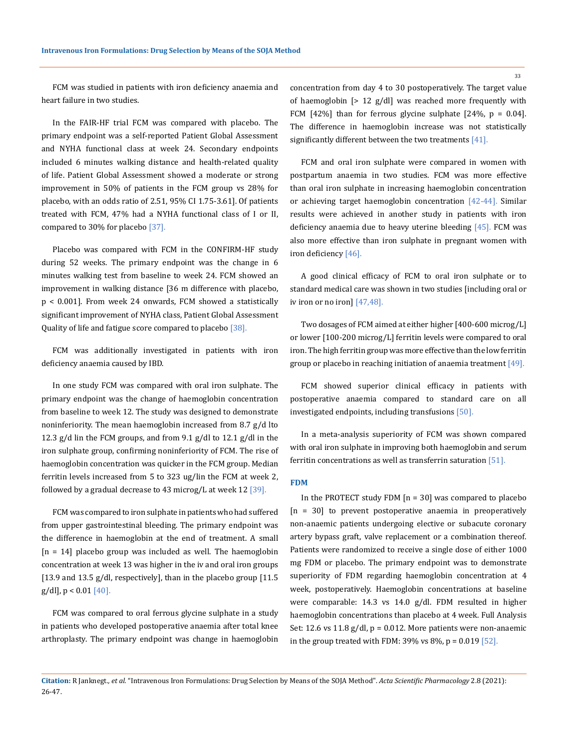FCM was studied in patients with iron deficiency anaemia and heart failure in two studies.

In the FAIR-HF trial FCM was compared with placebo. The primary endpoint was a self-reported Patient Global Assessment and NYHA functional class at week 24. Secondary endpoints included 6 minutes walking distance and health-related quality of life. Patient Global Assessment showed a moderate or strong improvement in 50% of patients in the FCM group vs 28% for placebo, with an odds ratio of 2.51, 95% CI 1.75-3.61]. Of patients treated with FCM, 47% had a NYHA functional class of I or II, compared to 30% for placebo [37].

Placebo was compared with FCM in the CONFIRM-HF study during 52 weeks. The primary endpoint was the change in 6 minutes walking test from baseline to week 24. FCM showed an improvement in walking distance [36 m difference with placebo, p < 0.001]. From week 24 onwards, FCM showed a statistically significant improvement of NYHA class, Patient Global Assessment Quality of life and fatigue score compared to placebo [38].

FCM was additionally investigated in patients with iron deficiency anaemia caused by IBD.

In one study FCM was compared with oral iron sulphate. The primary endpoint was the change of haemoglobin concentration from baseline to week 12. The study was designed to demonstrate noninferiority. The mean haemoglobin increased from 8.7 g/d lto 12.3 g/d lin the FCM groups, and from 9.1 g/dl to 12.1 g/dl in the iron sulphate group, confirming noninferiority of FCM. The rise of haemoglobin concentration was quicker in the FCM group. Median ferritin levels increased from 5 to 323 ug/lin the FCM at week 2, followed by a gradual decrease to 43 microg/L at week  $12$  [39].

FCM was compared to iron sulphate in patients who had suffered from upper gastrointestinal bleeding. The primary endpoint was the difference in haemoglobin at the end of treatment. A small  $[n = 14]$  placebo group was included as well. The haemoglobin concentration at week 13 was higher in the iv and oral iron groups [13.9 and 13.5 g/dl, respectively], than in the placebo group [11.5  $g/dl$ ],  $p < 0.01$  [40].

FCM was compared to oral ferrous glycine sulphate in a study in patients who developed postoperative anaemia after total knee arthroplasty. The primary endpoint was change in haemoglobin concentration from day 4 to 30 postoperatively. The target value of haemoglobin [> 12 g/dl] was reached more frequently with FCM  $[42\%]$  than for ferrous glycine sulphate  $[24\%]$ , p = 0.04]. The difference in haemoglobin increase was not statistically significantly different between the two treatments [41].

FCM and oral iron sulphate were compared in women with postpartum anaemia in two studies. FCM was more effective than oral iron sulphate in increasing haemoglobin concentration or achieving target haemoglobin concentration [42-44]. Similar results were achieved in another study in patients with iron deficiency anaemia due to heavy uterine bleeding [45]. FCM was also more effective than iron sulphate in pregnant women with iron deficiency [46].

A good clinical efficacy of FCM to oral iron sulphate or to standard medical care was shown in two studies [including oral or iv iron or no iron] [47,48].

Two dosages of FCM aimed at either higher [400-600 microg/L] or lower [100-200 microg/L] ferritin levels were compared to oral iron. The high ferritin group was more effective than the low ferritin group or placebo in reaching initiation of anaemia treatment [49].

FCM showed superior clinical efficacy in patients with postoperative anaemia compared to standard care on all investigated endpoints, including transfusions [50].

In a meta-analysis superiority of FCM was shown compared with oral iron sulphate in improving both haemoglobin and serum ferritin concentrations as well as transferrin saturation [51].

### **FDM**

In the PROTECT study FDM  $[n = 30]$  was compared to placebo [n = 30] to prevent postoperative anaemia in preoperatively non-anaemic patients undergoing elective or subacute coronary artery bypass graft, valve replacement or a combination thereof. Patients were randomized to receive a single dose of either 1000 mg FDM or placebo. The primary endpoint was to demonstrate superiority of FDM regarding haemoglobin concentration at 4 week, postoperatively. Haemoglobin concentrations at baseline were comparable: 14.3 vs 14.0 g/dl. FDM resulted in higher haemoglobin concentrations than placebo at 4 week. Full Analysis Set: 12.6 vs 11.8  $g/dl$ ,  $p = 0.012$ . More patients were non-anaemic in the group treated with FDM:  $39\%$  vs  $8\%$ , p = 0.019 [52].

**Citation:** R Janknegt*., et al.* "Intravenous Iron Formulations: Drug Selection by Means of the SOJA Method". *Acta Scientific Pharmacology* 2.8 (2021): 26-47.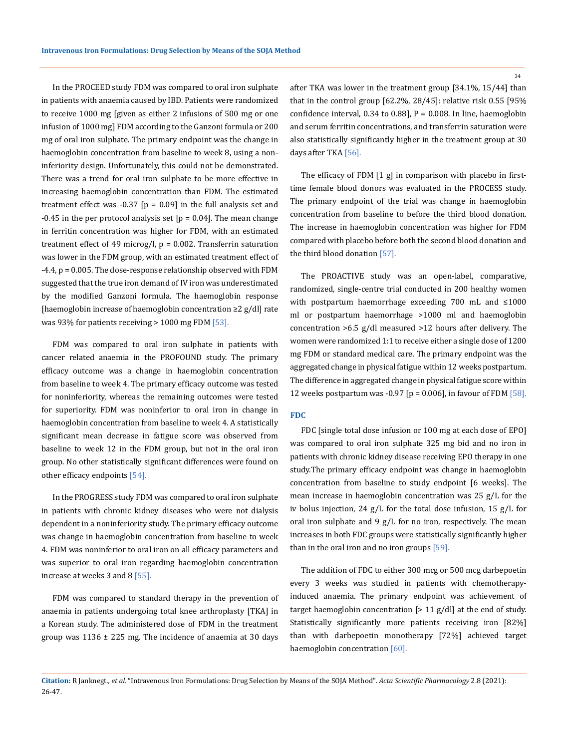In the PROCEED study FDM was compared to oral iron sulphate in patients with anaemia caused by IBD. Patients were randomized to receive 1000 mg [given as either 2 infusions of 500 mg or one infusion of 1000 mg] FDM according to the Ganzoni formula or 200 mg of oral iron sulphate. The primary endpoint was the change in haemoglobin concentration from baseline to week 8, using a noninferiority design. Unfortunately, this could not be demonstrated. There was a trend for oral iron sulphate to be more effective in increasing haemoglobin concentration than FDM. The estimated treatment effect was  $-0.37$  [p = 0.09] in the full analysis set and  $-0.45$  in the per protocol analysis set [p = 0.04]. The mean change in ferritin concentration was higher for FDM, with an estimated treatment effect of 49 microg/l,  $p = 0.002$ . Transferrin saturation was lower in the FDM group, with an estimated treatment effect of -4.4, p = 0.005. The dose-response relationship observed with FDM suggested that the true iron demand of IV iron was underestimated by the modified Ganzoni formula. The haemoglobin response [haemoglobin increase of haemoglobin concentration ≥2 g/dl] rate was 93% for patients receiving  $> 1000$  mg FDM  $[53]$ .

FDM was compared to oral iron sulphate in patients with cancer related anaemia in the PROFOUND study. The primary efficacy outcome was a change in haemoglobin concentration from baseline to week 4. The primary efficacy outcome was tested for noninferiority, whereas the remaining outcomes were tested for superiority. FDM was noninferior to oral iron in change in haemoglobin concentration from baseline to week 4. A statistically significant mean decrease in fatigue score was observed from baseline to week 12 in the FDM group, but not in the oral iron group. No other statistically significant differences were found on other efficacy endpoints [54].

In the PROGRESS study FDM was compared to oral iron sulphate in patients with chronic kidney diseases who were not dialysis dependent in a noninferiority study. The primary efficacy outcome was change in haemoglobin concentration from baseline to week 4. FDM was noninferior to oral iron on all efficacy parameters and was superior to oral iron regarding haemoglobin concentration increase at weeks 3 and 8 [55].

FDM was compared to standard therapy in the prevention of anaemia in patients undergoing total knee arthroplasty [TKA] in a Korean study. The administered dose of FDM in the treatment group was  $1136 \pm 225$  mg. The incidence of anaemia at 30 days

after TKA was lower in the treatment group [34.1%, 15/44] than that in the control group [62.2%, 28/45]: relative risk 0.55 [95% confidence interval,  $0.34$  to  $0.88$ ],  $P = 0.008$ . In line, haemoglobin and serum ferritin concentrations, and transferrin saturation were also statistically significantly higher in the treatment group at 30 days after TKA [56].

The efficacy of FDM [1 g] in comparison with placebo in firsttime female blood donors was evaluated in the PROCESS study. The primary endpoint of the trial was change in haemoglobin concentration from baseline to before the third blood donation. The increase in haemoglobin concentration was higher for FDM compared with placebo before both the second blood donation and the third blood donation [57].

The PROACTIVE study was an open-label, comparative, randomized, single-centre trial conducted in 200 healthy women with postpartum haemorrhage exceeding 700 mL and ≤1000 ml or postpartum haemorrhage >1000 ml and haemoglobin concentration >6.5 g/dl measured >12 hours after delivery. The women were randomized 1:1 to receive either a single dose of 1200 mg FDM or standard medical care. The primary endpoint was the aggregated change in physical fatigue within 12 weeks postpartum. The difference in aggregated change in physical fatigue score within 12 weeks postpartum was -0.97 [p = 0.006], in favour of FDM  $[58]$ .

### **FDC**

FDC [single total dose infusion or 100 mg at each dose of EPO] was compared to oral iron sulphate 325 mg bid and no iron in patients with chronic kidney disease receiving EPO therapy in one study.The primary efficacy endpoint was change in haemoglobin concentration from baseline to study endpoint [6 weeks]. The mean increase in haemoglobin concentration was 25 g/L for the iv bolus injection, 24 g/L for the total dose infusion, 15 g/L for oral iron sulphate and 9 g/L for no iron, respectively. The mean increases in both FDC groups were statistically significantly higher than in the oral iron and no iron groups [59].

The addition of FDC to either 300 mcg or 500 mcg darbepoetin every 3 weeks was studied in patients with chemotherapyinduced anaemia. The primary endpoint was achievement of target haemoglobin concentration  $[> 11 \text{ g}/dl]$  at the end of study. Statistically significantly more patients receiving iron [82%] than with darbepoetin monotherapy [72%] achieved target haemoglobin concentration [60].

**Citation:** R Janknegt*., et al.* "Intravenous Iron Formulations: Drug Selection by Means of the SOJA Method". *Acta Scientific Pharmacology* 2.8 (2021): 26-47.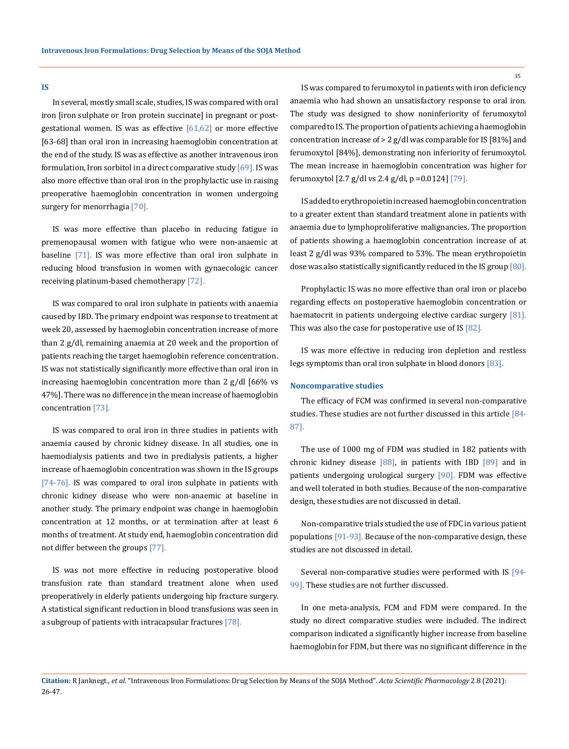#### **IS**

In several, mostly small scale, studies, IS was compared with oral iron [iron sulphate or Iron protein succinate] in pregnant or postgestational women. IS was as effective  $[61,62]$  or more effective [63-68] than oral iron in increasing haemoglobin concentration at the end of the study. IS was as effective as another intravenous iron formulation, Iron sorbitol in a direct comparative study [69]. IS was also more effective than oral iron in the prophylactic use in raising preoperative haemoglobin concentration in women undergoing surgery for menorrhagia [70].

IS was more effective than placebo in reducing fatigue in premenopausal women with fatigue who were non-anaemic at baseline [71]. IS was more effective than oral iron sulphate in reducing blood transfusion in women with gynaecologic cancer receiving platinum-based chemotherapy [72].

IS was compared to oral iron sulphate in patients with anaemia caused by IBD. The primary endpoint was response to treatment at week 20, assessed by haemoglobin concentration increase of more than 2 g/dl, remaining anaemia at 20 week and the proportion of patients reaching the target haemoglobin reference concentration. IS was not statistically significantly more effective than oral iron in increasing haemoglobin concentration more than 2 g/dl [66% vs 47%]. There was no difference in the mean increase of haemoglobin concentration [73].

IS was compared to oral iron in three studies in patients with anaemia caused by chronic kidney disease. In all studies, one in haemodialysis patients and two in predialysis patients, a higher increase of haemoglobin concentration was shown in the IS groups [74-76]. IS was compared to oral iron sulphate in patients with chronic kidney disease who were non-anaemic at baseline in another study. The primary endpoint was change in haemoglobin concentration at 12 months, or at termination after at least 6 months of treatment. At study end, haemoglobin concentration did not differ between the groups [77].

IS was not more effective in reducing postoperative blood transfusion rate than standard treatment alone when used preoperatively in elderly patients undergoing hip fracture surgery. A statistical significant reduction in blood transfusions was seen in a subgroup of patients with intracapsular fractures [78].

IS was compared to ferumoxytol in patients with iron deficiency anaemia who had shown an unsatisfactory response to oral iron. The study was designed to show noninferiority of ferumoxytol compared to IS. The proportion of patients achieving a haemoglobin concentration increase of > 2 g/dl was comparable for IS [81%] and ferumoxytol [84%], demonstrating non inferiority of ferumoxytol. The mean increase in haemoglobin concentration was higher for ferumoxytol [2.7 g/dl vs 2.4 g/dl, p =0.0124] [79].

IS added to erythropoietin increased haemoglobin concentration to a greater extent than standard treatment alone in patients with anaemia due to lymphoproliferative malignancies. The proportion of patients showing a haemoglobin concentration increase of at least 2 g/dl was 93% compared to 53%. The mean erythropoietin dose was also statistically significantly reduced in the IS group [80].

Prophylactic IS was no more effective than oral iron or placebo regarding effects on postoperative haemoglobin concentration or haematocrit in patients undergoing elective cardiac surgery [81]. This was also the case for postoperative use of IS [82].

IS was more effective in reducing iron depletion and restless legs symptoms than oral iron sulphate in blood donors [83].

### **Noncomparative studies**

The efficacy of FCM was confirmed in several non-comparative studies. These studies are not further discussed in this article [84- 87].

The use of 1000 mg of FDM was studied in 182 patients with chronic kidney disease [88], in patients with IBD [89] and in patients undergoing urological surgery [90]. FDM was effective and well tolerated in both studies. Because of the non-comparative design, these studies are not discussed in detail.

Non-comparative trials studied the use of FDC in various patient populations [91-93]. Because of the non-comparative design, these studies are not discussed in detail.

Several non-comparative studies were performed with IS [94- 99]. These studies are not further discussed.

In one meta-analysis, FCM and FDM were compared. In the study no direct comparative studies were included. The indirect comparison indicated a significantly higher increase from baseline haemoglobin for FDM, but there was no significant difference in the

**Citation:** R Janknegt*., et al.* "Intravenous Iron Formulations: Drug Selection by Means of the SOJA Method". *Acta Scientific Pharmacology* 2.8 (2021): 26-47.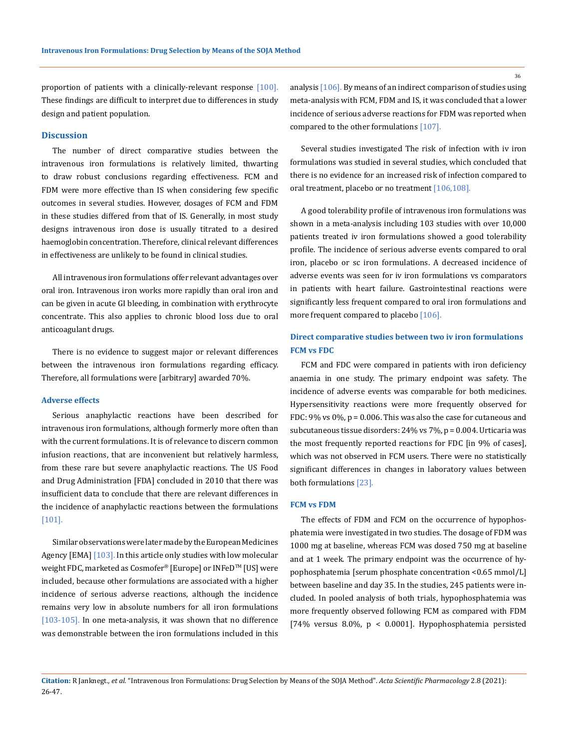proportion of patients with a clinically-relevant response [100]. These findings are difficult to interpret due to differences in study design and patient population.

### **Discussion**

The number of direct comparative studies between the intravenous iron formulations is relatively limited, thwarting to draw robust conclusions regarding effectiveness. FCM and FDM were more effective than IS when considering few specific outcomes in several studies. However, dosages of FCM and FDM in these studies differed from that of IS. Generally, in most study designs intravenous iron dose is usually titrated to a desired haemoglobin concentration. Therefore, clinical relevant differences in effectiveness are unlikely to be found in clinical studies.

All intravenous iron formulations offer relevant advantages over oral iron. Intravenous iron works more rapidly than oral iron and can be given in acute GI bleeding, in combination with erythrocyte concentrate. This also applies to chronic blood loss due to oral anticoagulant drugs.

There is no evidence to suggest major or relevant differences between the intravenous iron formulations regarding efficacy. Therefore, all formulations were [arbitrary] awarded 70%.

### **Adverse effects**

Serious anaphylactic reactions have been described for intravenous iron formulations, although formerly more often than with the current formulations. It is of relevance to discern common infusion reactions, that are inconvenient but relatively harmless, from these rare but severe anaphylactic reactions. The US Food and Drug Administration [FDA] concluded in 2010 that there was insufficient data to conclude that there are relevant differences in the incidence of anaphylactic reactions between the formulations [101].

Similar observations were later made by the European Medicines Agency [EMA] [103]. In this article only studies with low molecular weight FDC, marketed as Cosmofer® [Europe] or INFeD™ [US] were included, because other formulations are associated with a higher incidence of serious adverse reactions, although the incidence remains very low in absolute numbers for all iron formulations [103-105]. In one meta-analysis, it was shown that no difference was demonstrable between the iron formulations included in this analysis [106]. By means of an indirect comparison of studies using meta-analysis with FCM, FDM and IS, it was concluded that a lower incidence of serious adverse reactions for FDM was reported when compared to the other formulations [107].

Several studies investigated The risk of infection with iv iron formulations was studied in several studies, which concluded that there is no evidence for an increased risk of infection compared to oral treatment, placebo or no treatment [106,108].

A good tolerability profile of intravenous iron formulations was shown in a meta-analysis including 103 studies with over 10,000 patients treated iv iron formulations showed a good tolerability profile. The incidence of serious adverse events compared to oral iron, placebo or sc iron formulations. A decreased incidence of adverse events was seen for iv iron formulations vs comparators in patients with heart failure. Gastrointestinal reactions were significantly less frequent compared to oral iron formulations and more frequent compared to placebo [106].

# **Direct comparative studies between two iv iron formulations FCM vs FDC**

FCM and FDC were compared in patients with iron deficiency anaemia in one study. The primary endpoint was safety. The incidence of adverse events was comparable for both medicines. Hypersensitivity reactions were more frequently observed for FDC: 9% vs 0%, p = 0.006. This was also the case for cutaneous and subcutaneous tissue disorders: 24% vs 7%, p = 0.004. Urticaria was the most frequently reported reactions for FDC [in 9% of cases], which was not observed in FCM users. There were no statistically significant differences in changes in laboratory values between both formulations [23].

### **FCM vs FDM**

The effects of FDM and FCM on the occurrence of hypophosphatemia were investigated in two studies. The dosage of FDM was 1000 mg at baseline, whereas FCM was dosed 750 mg at baseline and at 1 week. The primary endpoint was the occurrence of hypophosphatemia [serum phosphate concentration <0.65 mmol/L] between baseline and day 35. In the studies, 245 patients were included. In pooled analysis of both trials, hypophosphatemia was more frequently observed following FCM as compared with FDM [74% versus 8.0%, p < 0.0001]. Hypophosphatemia persisted

**Citation:** R Janknegt*., et al.* "Intravenous Iron Formulations: Drug Selection by Means of the SOJA Method". *Acta Scientific Pharmacology* 2.8 (2021): 26-47.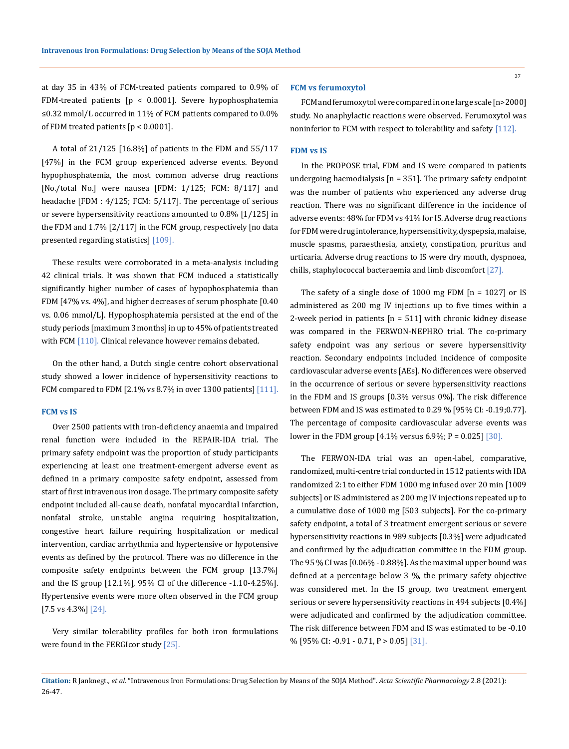at day 35 in 43% of FCM-treated patients compared to 0.9% of FDM-treated patients [p < 0.0001]. Severe hypophosphatemia ≤0.32 mmol/L occurred in 11% of FCM patients compared to 0.0% of FDM treated patients [p < 0.0001].

A total of 21/125 [16.8%] of patients in the FDM and 55/117 [47%] in the FCM group experienced adverse events. Beyond hypophosphatemia, the most common adverse drug reactions [No./total No.] were nausea [FDM: 1/125; FCM: 8/117] and headache [FDM : 4/125; FCM: 5/117]. The percentage of serious or severe hypersensitivity reactions amounted to 0.8% [1/125] in the FDM and 1.7% [2/117] in the FCM group, respectively [no data presented regarding statistics] [109].

These results were corroborated in a meta-analysis including 42 clinical trials. It was shown that FCM induced a statistically significantly higher number of cases of hypophosphatemia than FDM [47% vs. 4%], and higher decreases of serum phosphate [0.40 vs. 0.06 mmol/L]. Hypophosphatemia persisted at the end of the study periods [maximum 3 months] in up to 45% of patients treated with FCM [110]. Clinical relevance however remains debated.

On the other hand, a Dutch single centre cohort observational study showed a lower incidence of hypersensitivity reactions to FCM compared to FDM  $[2.1\%$  vs 8.7% in over 1300 patients]  $[111]$ .

#### **FCM vs IS**

Over 2500 patients with iron-deficiency anaemia and impaired renal function were included in the REPAIR-IDA trial. The primary safety endpoint was the proportion of study participants experiencing at least one treatment-emergent adverse event as defined in a primary composite safety endpoint, assessed from start of first intravenous iron dosage. The primary composite safety endpoint included all-cause death, nonfatal myocardial infarction, nonfatal stroke, unstable angina requiring hospitalization, congestive heart failure requiring hospitalization or medical intervention, cardiac arrhythmia and hypertensive or hypotensive events as defined by the protocol. There was no difference in the composite safety endpoints between the FCM group [13.7%] and the IS group [12.1%], 95% CI of the difference -1.10-4.25%]. Hypertensive events were more often observed in the FCM group [7.5 vs 4.3%] [24].

Very similar tolerability profiles for both iron formulations were found in the FERGIcor study [25].

### **FCM vs ferumoxytol**

FCM and ferumoxytol were compared in one large scale [n>2000] study. No anaphylactic reactions were observed. Ferumoxytol was noninferior to FCM with respect to tolerability and safety [112].

# **FDM vs IS**

In the PROPOSE trial, FDM and IS were compared in patients undergoing haemodialysis  $[n = 351]$ . The primary safety endpoint was the number of patients who experienced any adverse drug reaction. There was no significant difference in the incidence of adverse events: 48% for FDM vs 41% for IS. Adverse drug reactions for FDM were drug intolerance, hypersensitivity, dyspepsia, malaise, muscle spasms, paraesthesia, anxiety, constipation, pruritus and urticaria. Adverse drug reactions to IS were dry mouth, dyspnoea, chills, staphylococcal bacteraemia and limb discomfort [27].

The safety of a single dose of 1000 mg FDM [n = 1027] or IS administered as 200 mg IV injections up to five times within a 2-week period in patients  $[n = 511]$  with chronic kidney disease was compared in the FERWON-NEPHRO trial. The co-primary safety endpoint was any serious or severe hypersensitivity reaction. Secondary endpoints included incidence of composite cardiovascular adverse events [AEs]. No differences were observed in the occurrence of serious or severe hypersensitivity reactions in the FDM and IS groups [0.3% versus 0%]. The risk difference between FDM and IS was estimated to 0.29 % [95% CI: -0.19;0.77]. The percentage of composite cardiovascular adverse events was lower in the FDM group [4.1% versus 6.9%; P = 0.025] [30].

The FERWON-IDA trial was an open-label, comparative, randomized, multi-centre trial conducted in 1512 patients with IDA randomized 2:1 to either FDM 1000 mg infused over 20 min [1009 subjects] or IS administered as 200 mg IV injections repeated up to a cumulative dose of 1000 mg [503 subjects]. For the co-primary safety endpoint, a total of 3 treatment emergent serious or severe hypersensitivity reactions in 989 subjects [0.3%] were adjudicated and confirmed by the adjudication committee in the FDM group. The 95 % CI was [0.06% - 0.88%]. As the maximal upper bound was defined at a percentage below 3 %, the primary safety objective was considered met. In the IS group, two treatment emergent serious or severe hypersensitivity reactions in 494 subjects [0.4%] were adjudicated and confirmed by the adjudication committee. The risk difference between FDM and IS was estimated to be -0.10 % [95% CI: -0.91 - 0.71, P > 0.05] [31].

**Citation:** R Janknegt*., et al.* "Intravenous Iron Formulations: Drug Selection by Means of the SOJA Method". *Acta Scientific Pharmacology* 2.8 (2021): 26-47.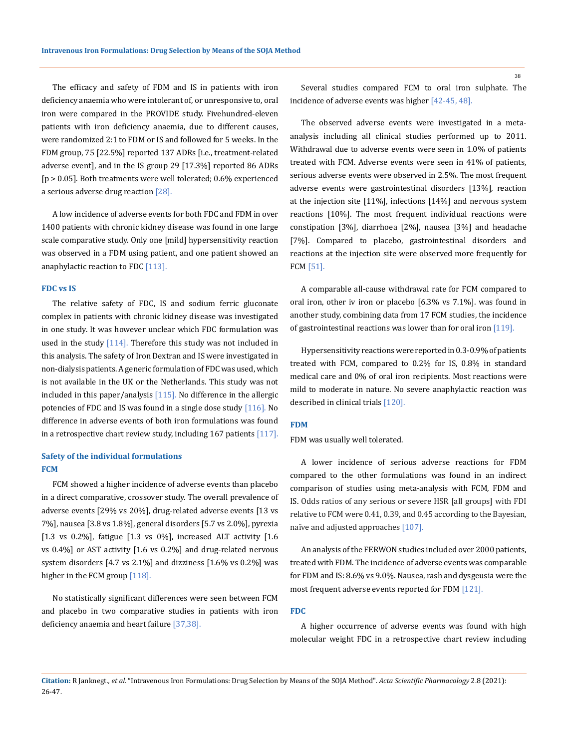The efficacy and safety of FDM and IS in patients with iron deficiency anaemia who were intolerant of, or unresponsive to, oral iron were compared in the PROVIDE study. Fivehundred-eleven patients with iron deficiency anaemia, due to different causes, were randomized 2:1 to FDM or IS and followed for 5 weeks. In the FDM group, 75 [22.5%] reported 137 ADRs [i.e., treatment-related adverse event], and in the IS group 29 [17.3%] reported 86 ADRs [p > 0.05]. Both treatments were well tolerated; 0.6% experienced a serious adverse drug reaction [28].

A low incidence of adverse events for both FDC and FDM in over 1400 patients with chronic kidney disease was found in one large scale comparative study. Only one [mild] hypersensitivity reaction was observed in a FDM using patient, and one patient showed an anaphylactic reaction to FDC [113].

### **FDC vs IS**

The relative safety of FDC, IS and sodium ferric gluconate complex in patients with chronic kidney disease was investigated in one study. It was however unclear which FDC formulation was used in the study [114]. Therefore this study was not included in this analysis. The safety of Iron Dextran and IS were investigated in non-dialysis patients. A generic formulation of FDC was used, which is not available in the UK or the Netherlands. This study was not included in this paper/analysis [115]. No difference in the allergic potencies of FDC and IS was found in a single dose study [116]. No difference in adverse events of both iron formulations was found in a retrospective chart review study, including  $167$  patients  $[117]$ .

# **Safety of the individual formulations FCM**

FCM showed a higher incidence of adverse events than placebo in a direct comparative, crossover study. The overall prevalence of adverse events [29% vs 20%], drug-related adverse events [13 vs 7%], nausea [3.8 vs 1.8%], general disorders [5.7 vs 2.0%], pyrexia [1.3 vs 0.2%], fatigue [1.3 vs 0%], increased ALT activity [1.6 vs 0.4%] or AST activity [1.6 vs 0.2%] and drug-related nervous system disorders [4.7 vs 2.1%] and dizziness [1.6% vs 0.2%] was higher in the FCM group [118].

No statistically significant differences were seen between FCM and placebo in two comparative studies in patients with iron deficiency anaemia and heart failure [37,38].

Several studies compared FCM to oral iron sulphate. The incidence of adverse events was higher [42-45, 48].

The observed adverse events were investigated in a metaanalysis including all clinical studies performed up to 2011. Withdrawal due to adverse events were seen in 1.0% of patients treated with FCM. Adverse events were seen in 41% of patients, serious adverse events were observed in 2.5%. The most frequent adverse events were gastrointestinal disorders [13%], reaction at the injection site [11%], infections [14%] and nervous system reactions [10%]. The most frequent individual reactions were constipation [3%], diarrhoea [2%], nausea [3%] and headache [7%]. Compared to placebo, gastrointestinal disorders and reactions at the injection site were observed more frequently for FCM [51].

A comparable all-cause withdrawal rate for FCM compared to oral iron, other iv iron or placebo [6.3% vs 7.1%]. was found in another study, combining data from 17 FCM studies, the incidence of gastrointestinal reactions was lower than for oral iron [119].

Hypersensitivity reactions were reported in 0.3-0.9% of patients treated with FCM, compared to 0.2% for IS, 0.8% in standard medical care and 0% of oral iron recipients. Most reactions were mild to moderate in nature. No severe anaphylactic reaction was described in clinical trials [120].

#### **FDM**

FDM was usually well tolerated.

A lower incidence of serious adverse reactions for FDM compared to the other formulations was found in an indirect comparison of studies using meta-analysis with FCM, FDM and IS. Odds ratios of any serious or severe HSR [all groups] with FDI relative to FCM were 0.41, 0.39, and 0.45 according to the Bayesian, naïve and adjusted approaches [107].

An analysis of the FERWON studies included over 2000 patients, treated with FDM. The incidence of adverse events was comparable for FDM and IS: 8.6% vs 9.0%. Nausea, rash and dysgeusia were the most frequent adverse events reported for FDM [121].

### **FDC**

A higher occurrence of adverse events was found with high molecular weight FDC in a retrospective chart review including

**Citation:** R Janknegt*., et al.* "Intravenous Iron Formulations: Drug Selection by Means of the SOJA Method". *Acta Scientific Pharmacology* 2.8 (2021): 26-47.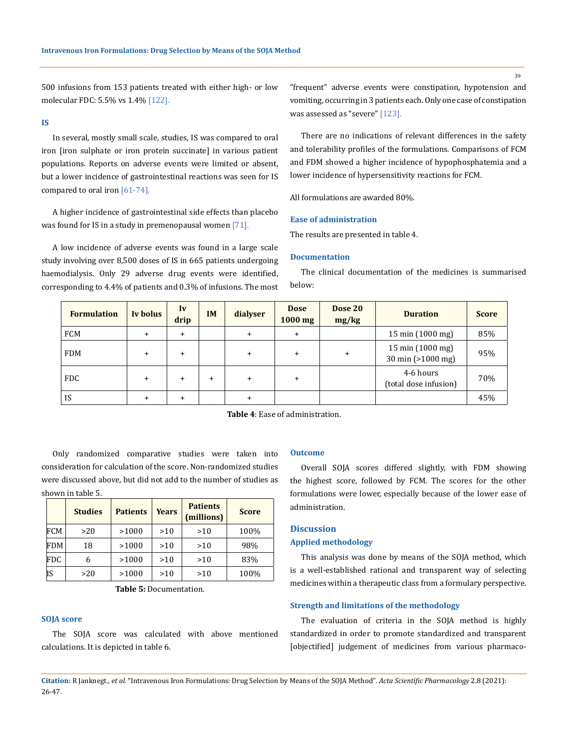500 infusions from 153 patients treated with either high- or low molecular FDC: 5.5% vs 1.4% [122].

### **IS**

In several, mostly small scale, studies, IS was compared to oral iron [iron sulphate or iron protein succinate] in various patient populations. Reports on adverse events were limited or absent, but a lower incidence of gastrointestinal reactions was seen for IS compared to oral iron [61-74].

A higher incidence of gastrointestinal side effects than placebo was found for IS in a study in premenopausal women [71].

A low incidence of adverse events was found in a large scale study involving over 8,500 doses of IS in 665 patients undergoing haemodialysis. Only 29 adverse drug events were identified, corresponding to 4.4% of patients and 0.3% of infusions. The most "frequent" adverse events were constipation, hypotension and vomiting, occurring in 3 patients each. Only one case of constipation was assessed as "severe" [123].

There are no indications of relevant differences in the safety and tolerability profiles of the formulations. Comparisons of FCM and FDM showed a higher incidence of hypophosphatemia and a lower incidence of hypersensitivity reactions for FCM.

All formulations are awarded 80%.

### **Ease of administration**

The results are presented in table 4.

### **Documentation**

The clinical documentation of the medicines is summarised below:

| <b>Formulation</b> | Iv bolus  | Iv<br>drip | <b>IM</b> | dialyser  | <b>Dose</b><br>$1000$ mg | Dose 20<br>mg/kg | <b>Duration</b>                       | <b>Score</b> |
|--------------------|-----------|------------|-----------|-----------|--------------------------|------------------|---------------------------------------|--------------|
| <b>FCM</b>         | $\pm$     | $\ddot{}$  |           | $\ddot{}$ | $\ddot{}$                |                  | 15 min $(1000 \text{ mg})$            | 85%          |
| <b>FDM</b>         | $\ddot{}$ | $\ddot{}$  |           | $\ddot{}$ | $\ddot{}$                | $\ddot{}$        | 15 min (1000 mg)<br>30 min (>1000 mg) | 95%          |
| <b>FDC</b>         | $\ddot{}$ | $\ddot{}$  | $\ddot{}$ | $\ddot{}$ | $\ddot{}$                |                  | 4-6 hours<br>(total dose infusion)    | 70%          |
| <b>IS</b>          | $\pm$     | +          |           |           |                          |                  |                                       | 45%          |

**Table 4**: Ease of administration.

Only randomized comparative studies were taken into consideration for calculation of the score. Non-randomized studies were discussed above, but did not add to the number of studies as shown in table 5.

|     | <b>Studies</b> | <b>Patients</b> | <b>Patients</b><br><b>Years</b><br>(millions) |     | <b>Score</b> |
|-----|----------------|-----------------|-----------------------------------------------|-----|--------------|
| FCM | >20            | >1000           | >10                                           | >10 | 100%         |
| FDM | 18             | >1000           | >10                                           | >10 | 98%          |
| FDC | 6              | >1000           | >10                                           | >10 | 83%          |
| IS  | >20            | >1000           | >10                                           | >10 | 100%         |

**Table 5:** Documentation.

### **SOJA score**

The SOJA score was calculated with above mentioned calculations. It is depicted in table 6.

### **Outcome**

Overall SOJA scores differed slightly, with FDM showing the highest score, followed by FCM. The scores for the other formulations were lower, especially because of the lower ease of administration.

# **Discussion**

# **Applied methodology**

This analysis was done by means of the SOJA method, which is a well-established rational and transparent way of selecting medicines within a therapeutic class from a formulary perspective.

#### **Strength and limitations of the methodology**

The evaluation of criteria in the SOJA method is highly standardized in order to promote standardized and transparent [objectified] judgement of medicines from various pharmaco-

**Citation:** R Janknegt*., et al.* "Intravenous Iron Formulations: Drug Selection by Means of the SOJA Method". *Acta Scientific Pharmacology* 2.8 (2021): 26-47.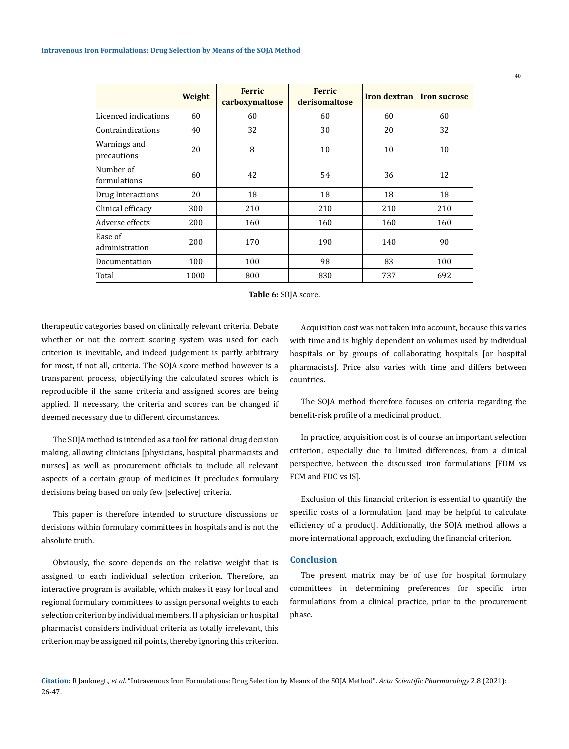|                             | Weight | <b>Ferric</b><br>carboxymaltose | <b>Ferric</b><br>derisomaltose | Iron dextran | <b>Iron sucrose</b> |
|-----------------------------|--------|---------------------------------|--------------------------------|--------------|---------------------|
| Licenced indications        | 60     | 60                              | 60                             | 60           | 60                  |
| Contraindications           | 40     | 32                              | 30                             | 20           | 32                  |
| Warnings and<br>precautions | 20     | 8                               | 10                             | 10           | 10                  |
| Number of<br>formulations   | 60     | 42                              | 54                             | 36           | 12                  |
| Drug Interactions           | 20     | 18                              | 18                             | 18           | 18                  |
| Clinical efficacy           | 300    | 210                             | 210                            | 210          | 210                 |
| Adverse effects             | 200    | 160                             | 160                            | 160          | 160                 |
| Ease of<br>administration   | 200    | 170                             | 190                            | 140          | 90                  |
| Documentation               | 100    | 100                             | 98                             | 83           | 100                 |
| Total                       | 1000   | 800                             | 830                            | 737          | 692                 |

**Table 6:** SOJA score.

therapeutic categories based on clinically relevant criteria. Debate whether or not the correct scoring system was used for each criterion is inevitable, and indeed judgement is partly arbitrary for most, if not all, criteria. The SOJA score method however is a transparent process, objectifying the calculated scores which is reproducible if the same criteria and assigned scores are being applied. If necessary, the criteria and scores can be changed if deemed necessary due to different circumstances.

The SOJA method is intended as a tool for rational drug decision making, allowing clinicians [physicians, hospital pharmacists and nurses] as well as procurement officials to include all relevant aspects of a certain group of medicines It precludes formulary decisions being based on only few [selective] criteria.

This paper is therefore intended to structure discussions or decisions within formulary committees in hospitals and is not the absolute truth.

Obviously, the score depends on the relative weight that is assigned to each individual selection criterion. Therefore, an interactive program is available, which makes it easy for local and regional formulary committees to assign personal weights to each selection criterion by individual members. If a physician or hospital pharmacist considers individual criteria as totally irrelevant, this criterion may be assigned nil points, thereby ignoring this criterion.

Acquisition cost was not taken into account, because this varies with time and is highly dependent on volumes used by individual hospitals or by groups of collaborating hospitals [or hospital pharmacists]. Price also varies with time and differs between countries.

The SOJA method therefore focuses on criteria regarding the benefit-risk profile of a medicinal product.

In practice, acquisition cost is of course an important selection criterion, especially due to limited differences, from a clinical perspective, between the discussed iron formulations [FDM vs FCM and FDC vs IS].

Exclusion of this financial criterion is essential to quantify the specific costs of a formulation [and may be helpful to calculate efficiency of a product]. Additionally, the SOJA method allows a more international approach, excluding the financial criterion.

# **Conclusion**

The present matrix may be of use for hospital formulary committees in determining preferences for specific iron formulations from a clinical practice, prior to the procurement phase.

**Citation:** R Janknegt*., et al.* "Intravenous Iron Formulations: Drug Selection by Means of the SOJA Method". *Acta Scientific Pharmacology* 2.8 (2021): 26-47.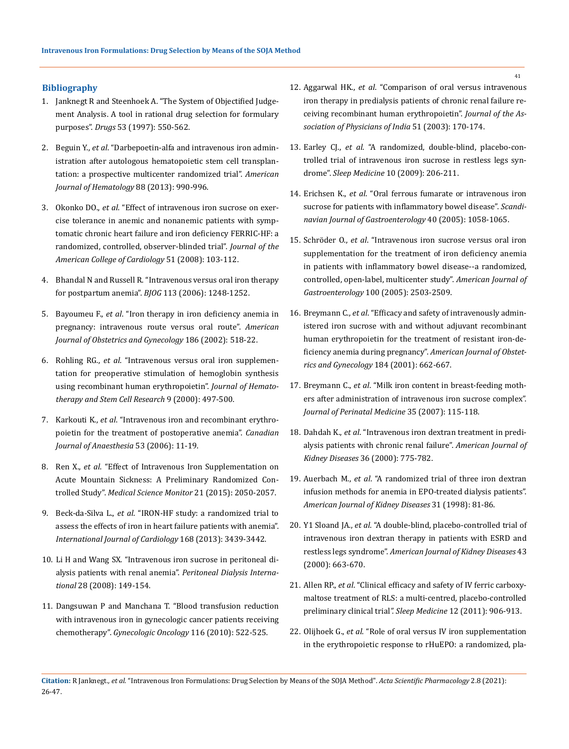# **Bibliography**

- 1. [Janknegt R and Steenhoek A. "The System of Objectified Judge](https://pubmed.ncbi.nlm.nih.gov/9098659/)[ment Analysis. A tool in rational drug selection for formulary](https://pubmed.ncbi.nlm.nih.gov/9098659/)  purposes". *Drugs* [53 \(1997\): 550-562.](https://pubmed.ncbi.nlm.nih.gov/9098659/)
- 2. Beguin Y., *et al*[. "Darbepoetin-alfa and intravenous iron admin](https://pubmed.ncbi.nlm.nih.gov/23873823/)[istration after autologous hematopoietic stem cell transplan](https://pubmed.ncbi.nlm.nih.gov/23873823/)[tation: a prospective multicenter randomized trial".](https://pubmed.ncbi.nlm.nih.gov/23873823/) *American [Journal of Hematology](https://pubmed.ncbi.nlm.nih.gov/23873823/)* 88 (2013): 990-996.
- 3. Okonko DO., *et al*[. "Effect of intravenous iron sucrose on exer](https://pubmed.ncbi.nlm.nih.gov/18191732/)[cise tolerance in anemic and nonanemic patients with symp](https://pubmed.ncbi.nlm.nih.gov/18191732/)[tomatic chronic heart failure and iron deficiency FERRIC-HF: a](https://pubmed.ncbi.nlm.nih.gov/18191732/)  [randomized, controlled, observer-blinded trial".](https://pubmed.ncbi.nlm.nih.gov/18191732/) *Journal of the [American College of Cardiology](https://pubmed.ncbi.nlm.nih.gov/18191732/)* 51 (2008): 103-112.
- 4. [Bhandal N and Russell R. "Intravenous versus oral iron therapy](https://pubmed.ncbi.nlm.nih.gov/17004982/)  [for postpartum anemia".](https://pubmed.ncbi.nlm.nih.gov/17004982/) *BJOG* 113 (2006): 1248-1252.
- 5. Bayoumeu F., *et al*. "Iron therapy in iron deficiency anemia in pregnancy: intravenous route versus oral route". *American Journal of Obstetrics and Gynecology* 186 (2002): 518-22.
- 6. Rohling RG., *et al*[. "Intravenous versus oral iron supplemen](https://pubmed.ncbi.nlm.nih.gov/10982248/)[tation for preoperative stimulation of hemoglobin synthesis](https://pubmed.ncbi.nlm.nih.gov/10982248/)  [using recombinant human erythropoietin".](https://pubmed.ncbi.nlm.nih.gov/10982248/) *Journal of Hemato[therapy and Stem Cell Research](https://pubmed.ncbi.nlm.nih.gov/10982248/)* 9 (2000): 497-500.
- 7. Karkouti K., *et al*[. "Intravenous iron and recombinant erythro](https://pubmed.ncbi.nlm.nih.gov/16371604/)[poietin for the treatment of postoperative anemia".](https://pubmed.ncbi.nlm.nih.gov/16371604/) *Canadian [Journal of Anaesthesia](https://pubmed.ncbi.nlm.nih.gov/16371604/)* 53 (2006): 11-19.
- 8. Ren X., *et al*[. "Effect of Intravenous Iron Supplementation on](https://pubmed.ncbi.nlm.nih.gov/26175087/)  [Acute Mountain Sickness: A Preliminary Randomized Con](https://pubmed.ncbi.nlm.nih.gov/26175087/)trolled Study". *[Medical Science Monitor](https://pubmed.ncbi.nlm.nih.gov/26175087/)* 21 (2015): 2050-2057.
- 9. Beck-da-Silva L., *et al*[. "IRON-HF study: a randomized trial to](https://pubmed.ncbi.nlm.nih.gov/23680589/)  [assess the effects of iron in heart failure patients with anemia".](https://pubmed.ncbi.nlm.nih.gov/23680589/)  *[International Journal of Cardiology](https://pubmed.ncbi.nlm.nih.gov/23680589/)* 168 (2013): 3439-3442.
- 10. [Li H and Wang SX. "Intravenous iron sucrose in peritoneal di](https://pubmed.ncbi.nlm.nih.gov/18332450/)[alysis patients with renal anemia".](https://pubmed.ncbi.nlm.nih.gov/18332450/) *Peritoneal Dialysis International* [28 \(2008\): 149-154.](https://pubmed.ncbi.nlm.nih.gov/18332450/)
- 11. [Dangsuwan P and Manchana T. "Blood transfusion reduction](https://pubmed.ncbi.nlm.nih.gov/20051288/)  [with intravenous iron in gynecologic cancer patients receiving](https://pubmed.ncbi.nlm.nih.gov/20051288/)  chemotherapy". *[Gynecologic Oncology](https://pubmed.ncbi.nlm.nih.gov/20051288/)* 116 (2010): 522-525.
- 12. Aggarwal HK., *et al*[. "Comparison of oral versus intravenous](https://pubmed.ncbi.nlm.nih.gov/12725261/)  [iron therapy in predialysis patients of chronic renal failure re](https://pubmed.ncbi.nlm.nih.gov/12725261/)[ceiving recombinant human erythropoietin".](https://pubmed.ncbi.nlm.nih.gov/12725261/) *Journal of the As[sociation of Physicians of India](https://pubmed.ncbi.nlm.nih.gov/12725261/)* 51 (2003): 170-174.
- 13. Earley CJ., *et al*[. "A randomized, double-blind, placebo-con](https://pubmed.ncbi.nlm.nih.gov/18280205/)[trolled trial of intravenous iron sucrose in restless legs syn](https://pubmed.ncbi.nlm.nih.gov/18280205/)drome". *Sleep Medicine* [10 \(2009\): 206-211.](https://pubmed.ncbi.nlm.nih.gov/18280205/)
- 14. Erichsen K., *et al*[. "Oral ferrous fumarate or intravenous iron](https://pubmed.ncbi.nlm.nih.gov/16165718/)  [sucrose for patients with inflammatory bowel disease".](https://pubmed.ncbi.nlm.nih.gov/16165718/) *Scandi[navian Journal of Gastroenterology](https://pubmed.ncbi.nlm.nih.gov/16165718/)* 40 (2005): 1058-1065.
- 15. Schröder O., *et al*[. "Intravenous iron sucrose versus oral iron](https://pubmed.ncbi.nlm.nih.gov/16279906/)  [supplementation for the treatment of iron deficiency anemia](https://pubmed.ncbi.nlm.nih.gov/16279906/)  [in patients with inflammatory bowel disease--a randomized,](https://pubmed.ncbi.nlm.nih.gov/16279906/)  [controlled, open-label, multicenter study".](https://pubmed.ncbi.nlm.nih.gov/16279906/) *American Journal of Gastroenterology* [100 \(2005\): 2503-2509.](https://pubmed.ncbi.nlm.nih.gov/16279906/)
- 16. Breymann C., *et al*[. "Efficacy and safety of intravenously admin](https://pubmed.ncbi.nlm.nih.gov/11262469/)[istered iron sucrose with and without adjuvant recombinant](https://pubmed.ncbi.nlm.nih.gov/11262469/)  [human erythropoietin for the treatment of resistant iron-de](https://pubmed.ncbi.nlm.nih.gov/11262469/)[ficiency anemia during pregnancy".](https://pubmed.ncbi.nlm.nih.gov/11262469/) *American Journal of Obstet[rics and Gynecology](https://pubmed.ncbi.nlm.nih.gov/11262469/)* 184 (2001): 662-667.
- 17. Breymann C., *et al*[. "Milk iron content in breast-feeding moth](https://pubmed.ncbi.nlm.nih.gov/17302514/)[ers after administration of intravenous iron sucrose complex".](https://pubmed.ncbi.nlm.nih.gov/17302514/)  *[Journal of Perinatal Medicine](https://pubmed.ncbi.nlm.nih.gov/17302514/)* 35 (2007): 115-118.
- 18. Dahdah K., *et al*[. "Intravenous iron dextran treatment in predi](https://www.ajkd.org/article/S0272-6386(00)70167-3/fulltext)[alysis patients with chronic renal failure".](https://www.ajkd.org/article/S0272-6386(00)70167-3/fulltext) *American Journal of [Kidney Diseases](https://www.ajkd.org/article/S0272-6386(00)70167-3/fulltext)* 36 (2000): 775-782.
- 19. Auerbach M., *et al*[. "A randomized trial of three iron dextran](https://pubmed.ncbi.nlm.nih.gov/9428456/)  [infusion methods for anemia in EPO-treated dialysis patients".](https://pubmed.ncbi.nlm.nih.gov/9428456/)  *[American Journal of Kidney Diseases](https://pubmed.ncbi.nlm.nih.gov/9428456/)* 31 (1998): 81-86.
- 20. Y1 Sloand JA., *et al*[. "A double-blind, placebo-controlled trial of](https://pubmed.ncbi.nlm.nih.gov/15042543/)  [intravenous iron dextran therapy in patients with ESRD and](https://pubmed.ncbi.nlm.nih.gov/15042543/)  restless legs syndrome". *[American Journal of Kidney Diseases](https://pubmed.ncbi.nlm.nih.gov/15042543/)* 43 [\(2000\): 663-670.](https://pubmed.ncbi.nlm.nih.gov/15042543/)
- 21. Allen RP., *et al*[. "Clinical efficacy and safety of IV ferric carboxy](https://pubmed.ncbi.nlm.nih.gov/21978726/)[maltose treatment of RLS: a multi-centred, placebo-controlled](https://pubmed.ncbi.nlm.nih.gov/21978726/)  [preliminary clinical trial](https://pubmed.ncbi.nlm.nih.gov/21978726/)*". Sleep Medicine* 12 (2011): 906-913.
- 22. Olijhoek G., *et al*[. "Role of oral versus IV iron supplementation](https://pubmed.ncbi.nlm.nih.gov/11452166/)  [in the erythropoietic response to rHuEPO: a randomized, pla-](https://pubmed.ncbi.nlm.nih.gov/11452166/)

**Citation:** R Janknegt*., et al.* "Intravenous Iron Formulations: Drug Selection by Means of the SOJA Method". *Acta Scientific Pharmacology* 2.8 (2021): 26-47.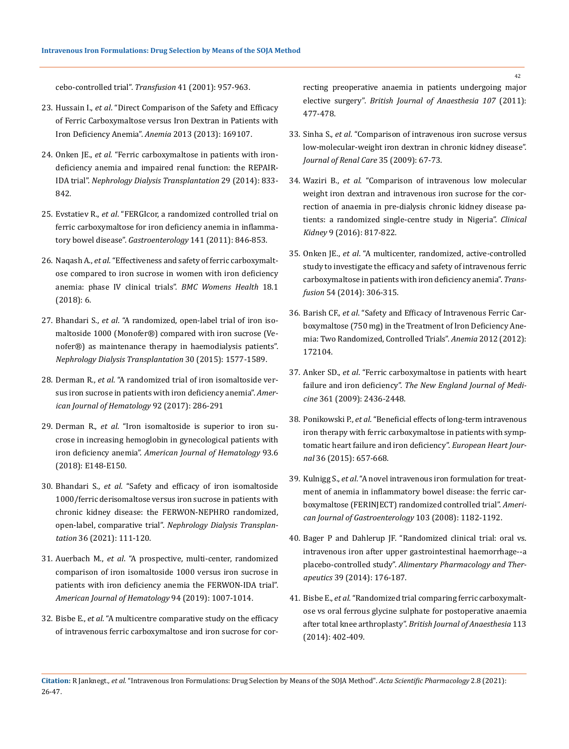[cebo-controlled trial".](https://pubmed.ncbi.nlm.nih.gov/11452166/) *Transfusion* 41 (2001): 957-963.

- 23. Hussain I., *et al*[. "Direct Comparison of the Safety and Efficacy](https://pubmed.ncbi.nlm.nih.gov/24069536/)  [of Ferric Carboxymaltose versus Iron Dextran in Patients with](https://pubmed.ncbi.nlm.nih.gov/24069536/)  [Iron Deficiency Anemia".](https://pubmed.ncbi.nlm.nih.gov/24069536/) *Anemia* 2013 (2013): 169107.
- 24. Onken JE., *et al*[. "Ferric carboxymaltose in patients with iron](https://pubmed.ncbi.nlm.nih.gov/23963731/)[deficiency anemia and impaired renal function: the REPAIR-](https://pubmed.ncbi.nlm.nih.gov/23963731/)IDA trial". *[Nephrology Dialysis Transplantation](https://pubmed.ncbi.nlm.nih.gov/23963731/)* 29 (2014): 833- [842.](https://pubmed.ncbi.nlm.nih.gov/23963731/)
- 25. Evstatiev R., *et al*[. "FERGIcor, a randomized controlled trial on](https://pubmed.ncbi.nlm.nih.gov/21699794/)  [ferric carboxymaltose for iron deficiency anemia in inflamma](https://pubmed.ncbi.nlm.nih.gov/21699794/)tory bowel disease". *Gastroenterology* [141 \(2011\): 846-853.](https://pubmed.ncbi.nlm.nih.gov/21699794/)
- 26. Naqash A., *et al*[. "Effectiveness and safety of ferric carboxymalt](https://pubmed.ncbi.nlm.nih.gov/29304848/)[ose compared to iron sucrose in women with iron deficiency](https://pubmed.ncbi.nlm.nih.gov/29304848/)  [anemia: phase IV clinical trials".](https://pubmed.ncbi.nlm.nih.gov/29304848/) *BMC Womens Health* 18.1 [\(2018\): 6.](https://pubmed.ncbi.nlm.nih.gov/29304848/)
- 27. Bhandari S., *et al*[. "A randomized, open-label trial of iron iso](https://pubmed.ncbi.nlm.nih.gov/25925701/)[maltoside 1000 \(Monofer®\) compared with iron sucrose \(Ve](https://pubmed.ncbi.nlm.nih.gov/25925701/)[nofer®\) as maintenance therapy in haemodialysis patients".](https://pubmed.ncbi.nlm.nih.gov/25925701/)  *[Nephrology Dialysis Transplantation](https://pubmed.ncbi.nlm.nih.gov/25925701/)* 30 (2015): 1577-1589.
- 28. Derman R., *et al*[. "A randomized trial of iron isomaltoside ver](https://pubmed.ncbi.nlm.nih.gov/28052413/)[sus iron sucrose in patients with iron deficiency anemia".](https://pubmed.ncbi.nlm.nih.gov/28052413/) *Amer[ican Journal of Hematology](https://pubmed.ncbi.nlm.nih.gov/28052413/)* 92 (2017): 286-291
- 29. Derman R., *et al*[. "Iron isomaltoside is superior to iron su](https://pubmed.ncbi.nlm.nih.gov/29569727/)[crose in increasing hemoglobin in gynecological patients with](https://pubmed.ncbi.nlm.nih.gov/29569727/)  iron deficiency anemia". *[American Journal of Hematology](https://pubmed.ncbi.nlm.nih.gov/29569727/)* 93.6 [\(2018\): E148-E150.](https://pubmed.ncbi.nlm.nih.gov/29569727/)
- 30. Bhandari S., *et al*[. "Safety and efficacy of iron isomaltoside](https://pubmed.ncbi.nlm.nih.gov/32049331/)  [1000/ferric derisomaltose versus iron sucrose in patients with](https://pubmed.ncbi.nlm.nih.gov/32049331/)  [chronic kidney disease: the FERWON-NEPHRO randomized,](https://pubmed.ncbi.nlm.nih.gov/32049331/)  open-label, comparative trial". *[Nephrology Dialysis Transplan](https://pubmed.ncbi.nlm.nih.gov/32049331/)tation* [36 \(2021\): 111-120.](https://pubmed.ncbi.nlm.nih.gov/32049331/)
- 31. Auerbach M., *et al*[. "A prospective, multi-center, randomized](https://pubmed.ncbi.nlm.nih.gov/31243803/)  [comparison of iron isomaltoside 1000 versus iron sucrose in](https://pubmed.ncbi.nlm.nih.gov/31243803/)  [patients with iron deficiency anemia the FERWON-IDA trial".](https://pubmed.ncbi.nlm.nih.gov/31243803/)  *[American Journal of Hematology](https://pubmed.ncbi.nlm.nih.gov/31243803/)* 94 (2019): 1007-1014.
- 32. Bisbe E., *et al*[. "A multicentre comparative study on the efficacy](https://pubmed.ncbi.nlm.nih.gov/21841061/)  [of intravenous ferric carboxymaltose and iron sucrose for cor-](https://pubmed.ncbi.nlm.nih.gov/21841061/)

[recting preoperative anaemia in patients undergoing major](https://pubmed.ncbi.nlm.nih.gov/21841061/)  elective surgery". *[British Journal of Anaesthesia 107](https://pubmed.ncbi.nlm.nih.gov/21841061/)* (2011): [477-478.](https://pubmed.ncbi.nlm.nih.gov/21841061/)

- 33. Sinha S., *et al*[. "Comparison of intravenous iron sucrose versus](https://pubmed.ncbi.nlm.nih.gov/19432851/)  [low-molecular-weight iron dextran in chronic kidney disease".](https://pubmed.ncbi.nlm.nih.gov/19432851/)  *[Journal of Renal Care](https://pubmed.ncbi.nlm.nih.gov/19432851/)* 35 (2009): 67-73.
- 34. Waziri B., *et al*[. "Comparison of intravenous low molecular](https://pubmed.ncbi.nlm.nih.gov/27994861/)  [weight iron dextran and intravenous iron sucrose for the cor](https://pubmed.ncbi.nlm.nih.gov/27994861/)[rection of anaemia in pre-dialysis chronic kidney disease pa](https://pubmed.ncbi.nlm.nih.gov/27994861/)[tients: a randomized single-centre study in Nigeria".](https://pubmed.ncbi.nlm.nih.gov/27994861/) *Clinical Kidney* [9 \(2016\): 817-822.](https://pubmed.ncbi.nlm.nih.gov/27994861/)
- 35. Onken JE., *et al*[. "A multicenter, randomized, active-controlled](https://pubmed.ncbi.nlm.nih.gov/23772856/)  [study to investigate the efficacy and safety of intravenous ferric](https://pubmed.ncbi.nlm.nih.gov/23772856/)  [carboxymaltose in patients with iron deficiency anemia".](https://pubmed.ncbi.nlm.nih.gov/23772856/) *Transfusion* [54 \(2014\): 306-315.](https://pubmed.ncbi.nlm.nih.gov/23772856/)
- 36. Barish CF., *et al*[. "Safety and Efficacy of Intravenous Ferric Car](https://pubmed.ncbi.nlm.nih.gov/22997572/)[boxymaltose \(750 mg\) in the Treatment of Iron Deficiency Ane](https://pubmed.ncbi.nlm.nih.gov/22997572/)[mia: Two Randomized, Controlled Trials".](https://pubmed.ncbi.nlm.nih.gov/22997572/) *Anemia* 2012 (2012): [172104.](https://pubmed.ncbi.nlm.nih.gov/22997572/)
- 37. Anker SD., *et al*[. "Ferric carboxymaltose in patients with heart](https://pubmed.ncbi.nlm.nih.gov/19920054/)  failure and iron deficiency". *[The New England Journal of Medi](https://pubmed.ncbi.nlm.nih.gov/19920054/)cine* [361 \(2009\): 2436-2448.](https://pubmed.ncbi.nlm.nih.gov/19920054/)
- 38. Ponikowski P., *et al*[. "Beneficial effects of long-term intravenous](https://pubmed.ncbi.nlm.nih.gov/25176939/)  [iron therapy with ferric carboxymaltose in patients with symp](https://pubmed.ncbi.nlm.nih.gov/25176939/)[tomatic heart failure and iron deficiency".](https://pubmed.ncbi.nlm.nih.gov/25176939/) *European Heart Journal* [36 \(2015\): 657-668.](https://pubmed.ncbi.nlm.nih.gov/25176939/)
- 39. Kulnigg S., *et al*[. "A novel intravenous iron formulation for treat](https://pubmed.ncbi.nlm.nih.gov/18371137/)[ment of anemia in inflammatory bowel disease: the ferric car](https://pubmed.ncbi.nlm.nih.gov/18371137/)[boxymaltose \(FERINJECT\) randomized controlled trial".](https://pubmed.ncbi.nlm.nih.gov/18371137/) *Ameri[can Journal of Gastroenterology](https://pubmed.ncbi.nlm.nih.gov/18371137/)* 103 (2008): 1182-1192.
- 40. [Bager P and Dahlerup JF. "Randomized clinical trial: oral vs.](https://pubmed.ncbi.nlm.nih.gov/24251969/)  [intravenous iron after upper gastrointestinal haemorrhage--a](https://pubmed.ncbi.nlm.nih.gov/24251969/)  placebo-controlled study". *[Alimentary Pharmacology and Ther](https://pubmed.ncbi.nlm.nih.gov/24251969/)apeutics* [39 \(2014\): 176-187.](https://pubmed.ncbi.nlm.nih.gov/24251969/)
- 41. Bisbe E., *et al*[. "Randomized trial comparing ferric carboxymalt](https://pubmed.ncbi.nlm.nih.gov/24780615/)[ose vs oral ferrous glycine sulphate for postoperative anaemia](https://pubmed.ncbi.nlm.nih.gov/24780615/)  after total knee arthroplasty". *[British Journal of Anaesthesia](https://pubmed.ncbi.nlm.nih.gov/24780615/)* 113 [\(2014\): 402-409.](https://pubmed.ncbi.nlm.nih.gov/24780615/)

**Citation:** R Janknegt*., et al.* "Intravenous Iron Formulations: Drug Selection by Means of the SOJA Method". *Acta Scientific Pharmacology* 2.8 (2021): 26-47.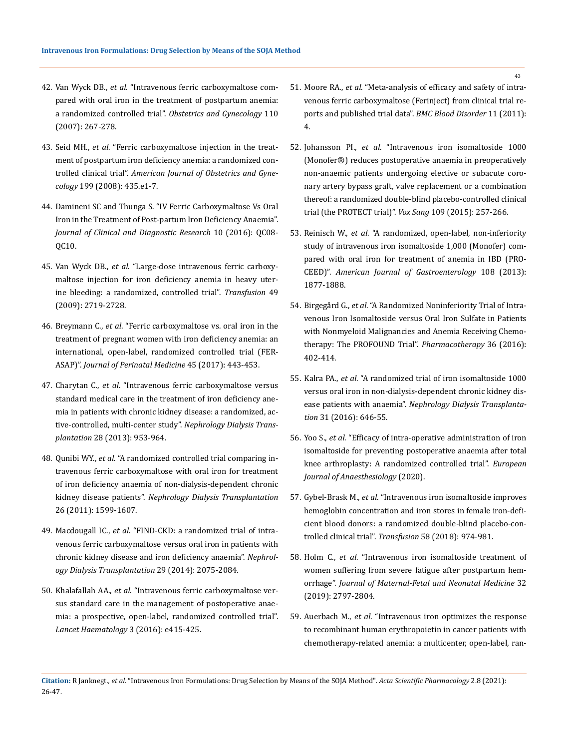- 42. Van Wyck DB., *et al*[. "Intravenous ferric carboxymaltose com](https://pubmed.ncbi.nlm.nih.gov/17666600/)[pared with oral iron in the treatment of postpartum anemia:](https://pubmed.ncbi.nlm.nih.gov/17666600/)  a randomized controlled trial". *[Obstetrics and Gynecology](https://pubmed.ncbi.nlm.nih.gov/17666600/)* 110 [\(2007\): 267-278.](https://pubmed.ncbi.nlm.nih.gov/17666600/)
- 43. Seid MH., *et al*[. "Ferric carboxymaltose injection in the treat](https://pubmed.ncbi.nlm.nih.gov/18928998/)[ment of postpartum iron deficiency anemia: a randomized con](https://pubmed.ncbi.nlm.nih.gov/18928998/)trolled clinical trial". *[American Journal of Obstetrics and Gyne](https://pubmed.ncbi.nlm.nih.gov/18928998/)cology* [199 \(2008\): 435.e1-7.](https://pubmed.ncbi.nlm.nih.gov/18928998/)
- 44. [Damineni SC and Thunga S. "IV Ferric Carboxymaltose Vs Oral](https://www.ncbi.nlm.nih.gov/pmc/articles/PMC5198403/)  [Iron in the Treatment of Post-partum Iron Deficiency Anaemia".](https://www.ncbi.nlm.nih.gov/pmc/articles/PMC5198403/)  *[Journal of Clinical and Diagnostic Research](https://www.ncbi.nlm.nih.gov/pmc/articles/PMC5198403/)* 10 (2016): QC08- [QC10.](https://www.ncbi.nlm.nih.gov/pmc/articles/PMC5198403/)
- 45. Van Wyck DB., *et al*[. "Large-dose intravenous ferric carboxy](https://pubmed.ncbi.nlm.nih.gov/19682342/)[maltose injection for iron deficiency anemia in heavy uter](https://pubmed.ncbi.nlm.nih.gov/19682342/)[ine bleeding: a randomized, controlled trial".](https://pubmed.ncbi.nlm.nih.gov/19682342/) *Transfusion* 49 [\(2009\): 2719-2728.](https://pubmed.ncbi.nlm.nih.gov/19682342/)
- 46. Breymann C., *et al*[. "Ferric carboxymaltose vs. oral iron in the](https://pubmed.ncbi.nlm.nih.gov/27278921/)  [treatment of pregnant women with iron deficiency anemia: an](https://pubmed.ncbi.nlm.nih.gov/27278921/)  [international, open-label, randomized controlled trial \(FER-](https://pubmed.ncbi.nlm.nih.gov/27278921/)ASAP)". *[Journal of Perinatal Medicine](https://pubmed.ncbi.nlm.nih.gov/27278921/)* 45 (2017): 443-453.
- 47. Charytan C., *et al*[. "Intravenous ferric carboxymaltose versus](https://pubmed.ncbi.nlm.nih.gov/23222534/)  [standard medical care in the treatment of iron deficiency ane](https://pubmed.ncbi.nlm.nih.gov/23222534/)[mia in patients with chronic kidney disease: a randomized, ac](https://pubmed.ncbi.nlm.nih.gov/23222534/)[tive-controlled, multi-center study".](https://pubmed.ncbi.nlm.nih.gov/23222534/) *Nephrology Dialysis Transplantation* [28 \(2013\): 953-964.](https://pubmed.ncbi.nlm.nih.gov/23222534/)
- 48. Qunibi WY., *et al*[. "A randomized controlled trial comparing in](https://pubmed.ncbi.nlm.nih.gov/20929915/)[travenous ferric carboxymaltose with oral iron for treatment](https://pubmed.ncbi.nlm.nih.gov/20929915/)  [of iron deficiency anaemia of non-dialysis-dependent chronic](https://pubmed.ncbi.nlm.nih.gov/20929915/)  kidney disease patients". *[Nephrology Dialysis Transplantation](https://pubmed.ncbi.nlm.nih.gov/20929915/)* [26 \(2011\): 1599-1607.](https://pubmed.ncbi.nlm.nih.gov/20929915/)
- 49. Macdougall IC., *et al*[. "FIND-CKD: a randomized trial of intra](https://pubmed.ncbi.nlm.nih.gov/24891437/)[venous ferric carboxymaltose versus oral iron in patients with](https://pubmed.ncbi.nlm.nih.gov/24891437/)  [chronic kidney disease and iron deficiency anaemia".](https://pubmed.ncbi.nlm.nih.gov/24891437/) *Nephrol[ogy Dialysis Transplantation](https://pubmed.ncbi.nlm.nih.gov/24891437/)* 29 (2014): 2075-2084.
- 50. Khalafallah AA., *et al*[. "Intravenous ferric carboxymaltose ver](https://pubmed.ncbi.nlm.nih.gov/21942989/)[sus standard care in the management of postoperative anae](https://pubmed.ncbi.nlm.nih.gov/21942989/)[mia: a prospective, open-label, randomized controlled trial".](https://pubmed.ncbi.nlm.nih.gov/21942989/)  *[Lancet Haematology](https://pubmed.ncbi.nlm.nih.gov/21942989/)* 3 (2016): e415-425.
- 51. Moore RA., *et al*[. "Meta-analysis of efficacy and safety of intra](https://pubmed.ncbi.nlm.nih.gov/21942989/)[venous ferric carboxymaltose \(Ferinject\) from clinical trial re](https://pubmed.ncbi.nlm.nih.gov/21942989/)[ports and published trial data".](https://pubmed.ncbi.nlm.nih.gov/21942989/) *BMC Blood Disorder* 11 (2011): [4.](https://pubmed.ncbi.nlm.nih.gov/21942989/)
- 52. Johansson PI., *et al*[. "Intravenous iron isomaltoside 1000](https://pubmed.ncbi.nlm.nih.gov/25900643/)  [\(Monofer®\) reduces postoperative anaemia in preoperatively](https://pubmed.ncbi.nlm.nih.gov/25900643/)  [non-anaemic patients undergoing elective or subacute coro](https://pubmed.ncbi.nlm.nih.gov/25900643/)[nary artery bypass graft, valve replacement or a combination](https://pubmed.ncbi.nlm.nih.gov/25900643/)  [thereof: a randomized double-blind placebo-controlled clinical](https://pubmed.ncbi.nlm.nih.gov/25900643/)  [trial \(the PROTECT trial\)".](https://pubmed.ncbi.nlm.nih.gov/25900643/) *Vox Sang* 109 (2015): 257-266.
- 53. Reinisch W., *et al*[. "A randomized, open-label, non-inferiority](https://pubmed.ncbi.nlm.nih.gov/24145678/)  [study of intravenous iron isomaltoside 1,000 \(Monofer\) com](https://pubmed.ncbi.nlm.nih.gov/24145678/)[pared with oral iron for treatment of anemia in IBD \(PRO-](https://pubmed.ncbi.nlm.nih.gov/24145678/)CEED)". *[American Journal of Gastroenterology](https://pubmed.ncbi.nlm.nih.gov/24145678/)* 108 (2013): [1877-1888.](https://pubmed.ncbi.nlm.nih.gov/24145678/)
- 54. Birgegård G., *et al*[. "A Randomized Noninferiority Trial of Intra](https://pubmed.ncbi.nlm.nih.gov/26927900/)[venous Iron Isomaltoside versus Oral Iron Sulfate in Patients](https://pubmed.ncbi.nlm.nih.gov/26927900/)  [with Nonmyeloid Malignancies and Anemia Receiving Chemo](https://pubmed.ncbi.nlm.nih.gov/26927900/)[therapy: The PROFOUND Trial".](https://pubmed.ncbi.nlm.nih.gov/26927900/) *Pharmacotherapy* 36 (2016): [402-414.](https://pubmed.ncbi.nlm.nih.gov/26927900/)
- 55. Kalra PA., *et al*[. "A randomized trial of iron isomaltoside 1000](https://pubmed.ncbi.nlm.nih.gov/26250435/)  [versus oral iron in non-dialysis-dependent chronic kidney dis](https://pubmed.ncbi.nlm.nih.gov/26250435/)ease patients with anaemia". *[Nephrology Dialysis Transplanta](https://pubmed.ncbi.nlm.nih.gov/26250435/)tion* [31 \(2016\): 646-55.](https://pubmed.ncbi.nlm.nih.gov/26250435/)
- 56. Yoo S., *et al*[. "Efficacy of intra-operative administration of iron](https://pubmed.ncbi.nlm.nih.gov/33259451/)  [isomaltoside for preventing postoperative anaemia after total](https://pubmed.ncbi.nlm.nih.gov/33259451/)  [knee arthroplasty: A randomized controlled trial".](https://pubmed.ncbi.nlm.nih.gov/33259451/) *European [Journal of Anaesthesiology](https://pubmed.ncbi.nlm.nih.gov/33259451/)* (2020).
- 57. Gybel-Brask M., *et al*[. "Intravenous iron isomaltoside improves](https://pubmed.ncbi.nlm.nih.gov/29424441/)  [hemoglobin concentration and iron stores in female iron-defi](https://pubmed.ncbi.nlm.nih.gov/29424441/)[cient blood donors: a randomized double-blind placebo-con](https://pubmed.ncbi.nlm.nih.gov/29424441/)[trolled clinical trial".](https://pubmed.ncbi.nlm.nih.gov/29424441/) *Transfusion* 58 (2018): 974-981.
- 58. Holm C., *et al*[. "Intravenous iron isomaltoside treatment of](https://pubmed.ncbi.nlm.nih.gov/29558233/)  [women suffering from severe fatigue after postpartum hem](https://pubmed.ncbi.nlm.nih.gov/29558233/)orrhage". *[Journal of Maternal-Fetal and Neonatal Medicine](https://pubmed.ncbi.nlm.nih.gov/29558233/)* 32 [\(2019\): 2797-2804.](https://pubmed.ncbi.nlm.nih.gov/29558233/)
- 59. Auerbach M., *et al*[. "Intravenous iron optimizes the response](https://pubmed.ncbi.nlm.nih.gov/15051778/)  [to recombinant human erythropoietin in cancer patients with](https://pubmed.ncbi.nlm.nih.gov/15051778/)  [chemotherapy-related anemia: a multicenter, open-label, ran-](https://pubmed.ncbi.nlm.nih.gov/15051778/)

**Citation:** R Janknegt*., et al.* "Intravenous Iron Formulations: Drug Selection by Means of the SOJA Method". *Acta Scientific Pharmacology* 2.8 (2021): 26-47.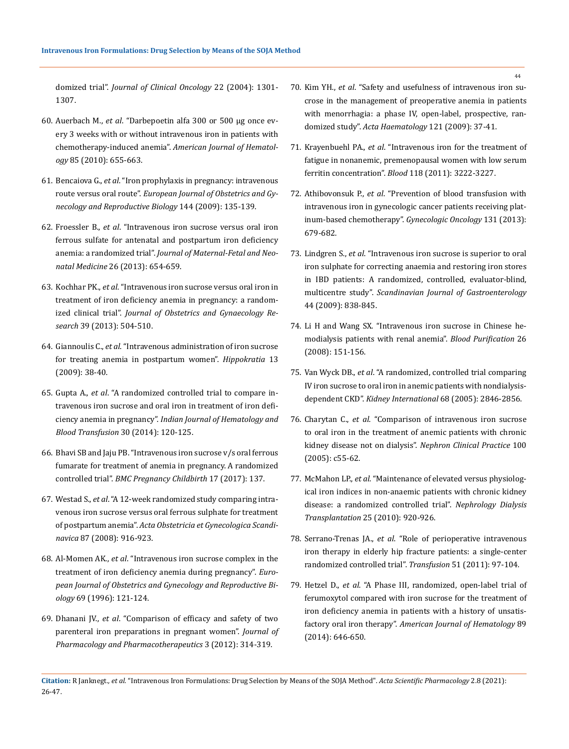domized trial". *Journal of [Clinical Oncology](https://pubmed.ncbi.nlm.nih.gov/15051778/)* 22 (2004): 1301- [1307.](https://pubmed.ncbi.nlm.nih.gov/15051778/)

- 60. Auerbach M., *et al*[. "Darbepoetin alfa 300 or 500 μg once ev](https://pubmed.ncbi.nlm.nih.gov/20661916/)[ery 3 weeks with or without intravenous iron in patients with](https://pubmed.ncbi.nlm.nih.gov/20661916/)  chemotherapy-induced anemia". *[American Journal of Hematol](https://pubmed.ncbi.nlm.nih.gov/20661916/)ogy* [85 \(2010\): 655-663.](https://pubmed.ncbi.nlm.nih.gov/20661916/)
- 61. Bencaiova G., *et al*[. "Iron prophylaxis in pregnancy: intravenous](https://pubmed.ncbi.nlm.nih.gov/19406557/)  route versus oral route". *[European Journal of Obstetrics and Gy](https://pubmed.ncbi.nlm.nih.gov/19406557/)[necology and Reproductive Biology](https://pubmed.ncbi.nlm.nih.gov/19406557/)* 144 (2009): 135-139.
- 62. Froessler B., *et al*[. "Intravenous iron sucrose versus oral iron](https://pubmed.ncbi.nlm.nih.gov/23130909/)  [ferrous sulfate for antenatal and postpartum iron deficiency](https://pubmed.ncbi.nlm.nih.gov/23130909/)  anemia: a randomized trial". *[Journal of Maternal-Fetal and Neo](https://pubmed.ncbi.nlm.nih.gov/23130909/)natal Medicine* [26 \(2013\): 654-659.](https://pubmed.ncbi.nlm.nih.gov/23130909/)
- 63. Kochhar PK., *et al*[. "Intravenous iron sucrose versus oral iron in](https://pubmed.ncbi.nlm.nih.gov/22925176/)  [treatment of iron deficiency anemia in pregnancy: a random](https://pubmed.ncbi.nlm.nih.gov/22925176/)ized clinical trial". *[Journal of Obstetrics and Gynaecology Re](https://pubmed.ncbi.nlm.nih.gov/22925176/)search* [39 \(2013\): 504-510.](https://pubmed.ncbi.nlm.nih.gov/22925176/)
- 64. Giannoulis C., *et al*[. "Intravenous administration of iron sucrose](https://www.ncbi.nlm.nih.gov/pmc/articles/PMC3650150/)  [for treating anemia in postpartum women".](https://www.ncbi.nlm.nih.gov/pmc/articles/PMC3650150/) *Hippokratia* 13 [\(2009\): 38-40.](https://www.ncbi.nlm.nih.gov/pmc/articles/PMC3650150/)
- 65. Gupta A., *et al*[. "A randomized controlled trial to compare in](https://www.ncbi.nlm.nih.gov/pmc/articles/PMC4022911/)[travenous iron sucrose and oral iron in treatment of iron defi](https://www.ncbi.nlm.nih.gov/pmc/articles/PMC4022911/)ciency anemia in pregnancy". *[Indian Journal of Hematology and](https://www.ncbi.nlm.nih.gov/pmc/articles/PMC4022911/)  [Blood Transfusion](https://www.ncbi.nlm.nih.gov/pmc/articles/PMC4022911/)* 30 (2014): 120-125.
- 66. [Bhavi SB and Jaju PB. "Intravenous iron sucrose v/s oral ferrous](https://pubmed.ncbi.nlm.nih.gov/28482869/)  [fumarate for treatment of anemia in pregnancy. A randomized](https://pubmed.ncbi.nlm.nih.gov/28482869/)  controlled trial". *[BMC Pregnancy Childbirth](https://pubmed.ncbi.nlm.nih.gov/28482869/)* 17 (2017): 137.
- 67. Westad S., *et al*[. "A 12-week randomized study comparing intra](https://pubmed.ncbi.nlm.nih.gov/18720044/)[venous iron sucrose versus oral ferrous sulphate for treatment](https://pubmed.ncbi.nlm.nih.gov/18720044/)  of postpartum anemia". *[Acta Obstetricia et Gynecologica Scandi](https://pubmed.ncbi.nlm.nih.gov/18720044/)navica* [87 \(2008\): 916-923.](https://pubmed.ncbi.nlm.nih.gov/18720044/)
- 68. Al-Momen AK., *et al*[. "Intravenous iron sucrose complex in the](https://pubmed.ncbi.nlm.nih.gov/8902444/)  [treatment of iron deficiency anemia during pregnancy".](https://pubmed.ncbi.nlm.nih.gov/8902444/) *Euro[pean Journal of Obstetrics and Gynecology and Reproductive Bi](https://pubmed.ncbi.nlm.nih.gov/8902444/)ology* [69 \(1996\): 121-124.](https://pubmed.ncbi.nlm.nih.gov/8902444/)
- 69. Dhanani JV., *et al*[. "Comparison of efficacy and safety of two](https://www.ncbi.nlm.nih.gov/pmc/articles/PMC3543551/)  [parenteral iron preparations in pregnant women".](https://www.ncbi.nlm.nih.gov/pmc/articles/PMC3543551/) *Journal of [Pharmacology and Pharmacotherapeutics](https://www.ncbi.nlm.nih.gov/pmc/articles/PMC3543551/)* 3 (2012): 314-319.
- 70. Kim YH., *et al*[. "Safety and usefulness of intravenous iron su](https://pubmed.ncbi.nlm.nih.gov/19332985/)[crose in the management of preoperative anemia in patients](https://pubmed.ncbi.nlm.nih.gov/19332985/)  [with menorrhagia: a phase IV, open-label, prospective, ran](https://pubmed.ncbi.nlm.nih.gov/19332985/)domized study". *[Acta Haematology](https://pubmed.ncbi.nlm.nih.gov/19332985/)* 121 (2009): 37-41.
- 71. Krayenbuehl PA., *et al*[. "Intravenous iron for the treatment of](https://pubmed.ncbi.nlm.nih.gov/21705493/)  [fatigue in nonanemic, premenopausal women with low serum](https://pubmed.ncbi.nlm.nih.gov/21705493/)  ferritin concentration". *Blood* [118 \(2011\): 3222-3227.](https://pubmed.ncbi.nlm.nih.gov/21705493/)
- 72. Athibovonsuk P., *et al*[. "Prevention of blood transfusion with](https://pubmed.ncbi.nlm.nih.gov/24099839/)  [intravenous iron in gynecologic cancer patients receiving plat](https://pubmed.ncbi.nlm.nih.gov/24099839/)[inum-based chemotherapy".](https://pubmed.ncbi.nlm.nih.gov/24099839/) *Gynecologic Oncology* 131 (2013): [679-682.](https://pubmed.ncbi.nlm.nih.gov/24099839/)
- 73. Lindgren S., *et al*[. "Intravenous iron sucrose is superior to oral](https://pubmed.ncbi.nlm.nih.gov/19330567/)  [iron sulphate for correcting anaemia and restoring iron stores](https://pubmed.ncbi.nlm.nih.gov/19330567/)  [in IBD patients: A randomized, controlled, evaluator-blind,](https://pubmed.ncbi.nlm.nih.gov/19330567/)  multicentre study". *[Scandinavian Journal of Gastroenterology](https://pubmed.ncbi.nlm.nih.gov/19330567/)* [44 \(2009\): 838-845.](https://pubmed.ncbi.nlm.nih.gov/19330567/)
- 74. [Li H and Wang SX. "Intravenous iron sucrose in Chinese he](https://pubmed.ncbi.nlm.nih.gov/18212498/)[modialysis patients with renal anemia".](https://pubmed.ncbi.nlm.nih.gov/18212498/) *Blood Purification* 26 [\(2008\): 151-156.](https://pubmed.ncbi.nlm.nih.gov/18212498/)
- 75. Van Wyck DB., *et al*[. "A randomized, controlled trial comparing](https://pubmed.ncbi.nlm.nih.gov/16316362/)  [IV iron sucrose to oral iron in anemic patients with nondialysis](https://pubmed.ncbi.nlm.nih.gov/16316362/)dependent CKD". *[Kidney International](https://pubmed.ncbi.nlm.nih.gov/16316362/)* 68 (2005): 2846-2856.
- 76. Charytan C., *et al*[. "Comparison of intravenous iron sucrose](https://pubmed.ncbi.nlm.nih.gov/15824508/)  [to oral iron in the treatment of anemic patients with chronic](https://pubmed.ncbi.nlm.nih.gov/15824508/)  kidney disease not on dialysis". *[Nephron Clinical Practice](https://pubmed.ncbi.nlm.nih.gov/15824508/)* 100 [\(2005\): c55-62.](https://pubmed.ncbi.nlm.nih.gov/15824508/)
- 77. McMahon LP., *et al*[. "Maintenance of elevated versus physiolog](https://pubmed.ncbi.nlm.nih.gov/19906658/)[ical iron indices in non-anaemic patients with chronic kidney](https://pubmed.ncbi.nlm.nih.gov/19906658/)  [disease: a randomized controlled trial".](https://pubmed.ncbi.nlm.nih.gov/19906658/) *Nephrology Dialysis Transplantation* [25 \(2010\): 920-926.](https://pubmed.ncbi.nlm.nih.gov/19906658/)
- 78. Serrano-Trenas JA., *et al*[. "Role of perioperative intravenous](https://pubmed.ncbi.nlm.nih.gov/20630042/)  [iron therapy in elderly hip fracture patients: a single-center](https://pubmed.ncbi.nlm.nih.gov/20630042/)  [randomized controlled trial".](https://pubmed.ncbi.nlm.nih.gov/20630042/) *Transfusion* 51 (2011): 97-104.
- 79. Hetzel D., *et al*[. "A Phase III, randomized, open-label trial of](https://pubmed.ncbi.nlm.nih.gov/24639149/)  [ferumoxytol compared with iron sucrose for the treatment of](https://pubmed.ncbi.nlm.nih.gov/24639149/)  [iron deficiency anemia in patients with a history of unsatis](https://pubmed.ncbi.nlm.nih.gov/24639149/)factory oral iron therapy". *[American Journal of Hematology](https://pubmed.ncbi.nlm.nih.gov/24639149/)* 89 [\(2014\): 646-650.](https://pubmed.ncbi.nlm.nih.gov/24639149/)

**Citation:** R Janknegt*., et al.* "Intravenous Iron Formulations: Drug Selection by Means of the SOJA Method". *Acta Scientific Pharmacology* 2.8 (2021): 26-47.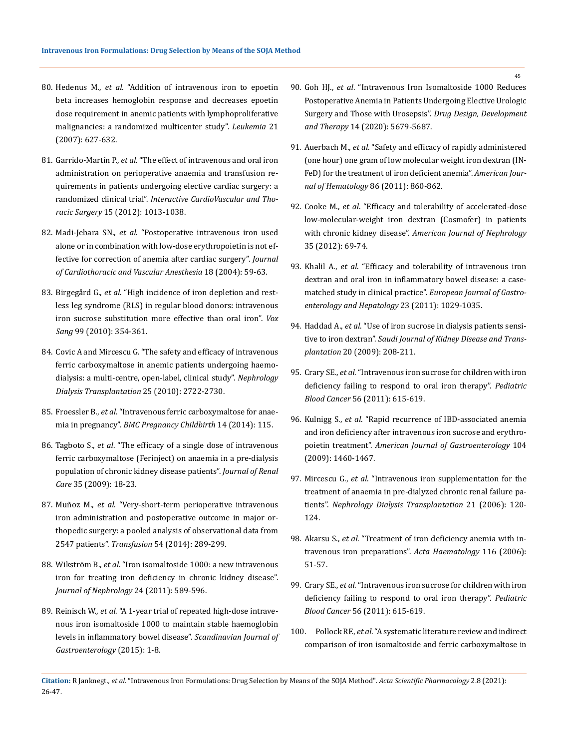- 80. Hedenus M., *et al*[. "Addition of intravenous iron to epoetin](https://pubmed.ncbi.nlm.nih.gov/17252006/)  [beta increases hemoglobin response and decreases epoetin](https://pubmed.ncbi.nlm.nih.gov/17252006/)  [dose requirement in anemic patients with lymphoproliferative](https://pubmed.ncbi.nlm.nih.gov/17252006/)  [malignancies: a randomized multicenter study".](https://pubmed.ncbi.nlm.nih.gov/17252006/) *Leukemia* 21 [\(2007\): 627-632.](https://pubmed.ncbi.nlm.nih.gov/17252006/)
- 81. Garrido-Martín P., *et al*[. "The effect of intravenous and oral iron](https://pubmed.ncbi.nlm.nih.gov/22940889/)  [administration on perioperative anaemia and transfusion re](https://pubmed.ncbi.nlm.nih.gov/22940889/)[quirements in patients undergoing elective cardiac surgery: a](https://pubmed.ncbi.nlm.nih.gov/22940889/)  randomized clinical trial". *[Interactive CardioVascular and Tho](https://pubmed.ncbi.nlm.nih.gov/22940889/)racic Surgery* [15 \(2012\): 1013-1038.](https://pubmed.ncbi.nlm.nih.gov/22940889/)
- 82. Madi-Jebara SN., *et al*[. "Postoperative intravenous iron used](https://pubmed.ncbi.nlm.nih.gov/14973801/)  [alone or in combination with low-dose erythropoietin is not ef](https://pubmed.ncbi.nlm.nih.gov/14973801/)[fective for correction of anemia after cardiac surgery".](https://pubmed.ncbi.nlm.nih.gov/14973801/) *Journal [of Cardiothoracic and Vascular Anesthesia](https://pubmed.ncbi.nlm.nih.gov/14973801/)* 18 (2004): 59-63.
- 83. Birgegård G., *et al*[. "High incidence of iron depletion and rest](https://pubmed.ncbi.nlm.nih.gov/20598107/)[less leg syndrome \(RLS\) in regular blood donors: intravenous](https://pubmed.ncbi.nlm.nih.gov/20598107/)  [iron sucrose substitution more effective than oral iron".](https://pubmed.ncbi.nlm.nih.gov/20598107/) *Vox Sang* [99 \(2010\): 354-361.](https://pubmed.ncbi.nlm.nih.gov/20598107/)
- 84. [Covic A and Mircescu G. "The safety and efficacy of intravenous](https://www.ncbi.nlm.nih.gov/pmc/articles/PMC2905444/)  [ferric carboxymaltose in anemic patients undergoing haemo](https://www.ncbi.nlm.nih.gov/pmc/articles/PMC2905444/)[dialysis: a multi-centre, open-label, clinical study".](https://www.ncbi.nlm.nih.gov/pmc/articles/PMC2905444/) *Nephrology [Dialysis Transplantation](https://www.ncbi.nlm.nih.gov/pmc/articles/PMC2905444/)* 25 (2010): 2722-2730.
- 85. Froessler B., *et al*[. "Intravenous ferric carboxymaltose for anae](https://pubmed.ncbi.nlm.nih.gov/24667031/)mia in pregnancy". *[BMC Pregnancy Childbirth](https://pubmed.ncbi.nlm.nih.gov/24667031/)* 14 (2014): 115.
- 86. Tagboto S., *et al*[. "The efficacy of a single dose of intravenous](https://pubmed.ncbi.nlm.nih.gov/19200274/)  [ferric carboxymaltose \(Ferinject\) on anaemia in a pre-dialysis](https://pubmed.ncbi.nlm.nih.gov/19200274/)  [population of chronic kidney disease patients".](https://pubmed.ncbi.nlm.nih.gov/19200274/) *Journal of Renal Care* [35 \(2009\): 18-23.](https://pubmed.ncbi.nlm.nih.gov/19200274/)
- 87. Muñoz M., *et al*[. "Very-short-term perioperative intravenous](https://pubmed.ncbi.nlm.nih.gov/23581484/)  [iron administration and postoperative outcome in major or](https://pubmed.ncbi.nlm.nih.gov/23581484/)[thopedic surgery: a pooled analysis of observational data from](https://pubmed.ncbi.nlm.nih.gov/23581484/)  2547 patients". *Transfusion* [54 \(2014\): 289-299.](https://pubmed.ncbi.nlm.nih.gov/23581484/)
- 88. Wikström B., *et al*[. "Iron isomaltoside 1000: a new intravenous](https://pubmed.ncbi.nlm.nih.gov/21240875/)  [iron for treating iron deficiency in chronic kidney disease".](https://pubmed.ncbi.nlm.nih.gov/21240875/)  *[Journal of Nephrology](https://pubmed.ncbi.nlm.nih.gov/21240875/)* 24 (2011): 589-596.
- 89. Reinisch W., *et al*[. "A 1-year trial of repeated high-dose intrave](https://pubmed.ncbi.nlm.nih.gov/25900645/)[nous iron isomaltoside 1000 to maintain stable haemoglobin](https://pubmed.ncbi.nlm.nih.gov/25900645/)  [levels in inflammatory bowel disease".](https://pubmed.ncbi.nlm.nih.gov/25900645/) *Scandinavian Journal of [Gastroenterology](https://pubmed.ncbi.nlm.nih.gov/25900645/)* (2015): 1-8.
- 90. Goh HJ., *et al*[. "Intravenous Iron Isomaltoside 1000 Reduces](https://www.ncbi.nlm.nih.gov/pmc/articles/PMC7767719/)  [Postoperative Anemia in Patients Undergoing Elective Urologic](https://www.ncbi.nlm.nih.gov/pmc/articles/PMC7767719/)  [Surgery and Those with Urosepsis".](https://www.ncbi.nlm.nih.gov/pmc/articles/PMC7767719/) *Drug Design, Development and Therapy* [14 \(2020\): 5679-5687.](https://www.ncbi.nlm.nih.gov/pmc/articles/PMC7767719/)
- 91. Auerbach M., *et al*[. "Safety and efficacy of rapidly administered](https://pubmed.ncbi.nlm.nih.gov/21922526/)  [\(one hour\) one gram of low molecular weight iron dextran \(IN-](https://pubmed.ncbi.nlm.nih.gov/21922526/)[FeD\) for the treatment of iron deficient anemia".](https://pubmed.ncbi.nlm.nih.gov/21922526/) *American Jour[nal of Hematology](https://pubmed.ncbi.nlm.nih.gov/21922526/)* 86 (2011): 860-862.
- 92. Cooke M., *et al*[. "Efficacy and tolerability of accelerated-dose](https://pubmed.ncbi.nlm.nih.gov/22189072/)  [low-molecular-weight iron dextran \(Cosmofer\) in patients](https://pubmed.ncbi.nlm.nih.gov/22189072/)  with chronic kidney disease". *[American Journal of Nephrology](https://pubmed.ncbi.nlm.nih.gov/22189072/)* [35 \(2012\): 69-74.](https://pubmed.ncbi.nlm.nih.gov/22189072/)
- 93. Khalil A., *et al*[. "Efficacy and tolerability of intravenous iron](https://pubmed.ncbi.nlm.nih.gov/21857526/)  [dextran and oral iron in inflammatory bowel disease: a case](https://pubmed.ncbi.nlm.nih.gov/21857526/)matched study in clinical practice". *[European Journal of Gastro](https://pubmed.ncbi.nlm.nih.gov/21857526/)[enterology and Hepatology](https://pubmed.ncbi.nlm.nih.gov/21857526/)* 23 (2011): 1029-1035.
- 94. Haddad A., *et al*[. "Use of iron sucrose in dialysis patients sensi](https://pubmed.ncbi.nlm.nih.gov/19237805/)tive to iron dextran". *[Saudi Journal of Kidney Disease and Trans](https://pubmed.ncbi.nlm.nih.gov/19237805/)plantation* [20 \(2009\): 208-211.](https://pubmed.ncbi.nlm.nih.gov/19237805/)
- 95. Crary SE., *et al*[. "Intravenous iron sucrose for children with iron](https://pubmed.ncbi.nlm.nih.gov/21298748/)  [deficiency failing to respond to oral iron therapy".](https://pubmed.ncbi.nlm.nih.gov/21298748/) *Pediatric Blood Cancer* [56 \(2011\): 615-619.](https://pubmed.ncbi.nlm.nih.gov/21298748/)
- 96. Kulnigg S., *et al*[. "Rapid recurrence of IBD-associated anemia](https://pubmed.ncbi.nlm.nih.gov/19491860/)  [and iron deficiency after intravenous iron sucrose and erythro](https://pubmed.ncbi.nlm.nih.gov/19491860/)poietin treatment". *[American Journal of Gastroenterology](https://pubmed.ncbi.nlm.nih.gov/19491860/)* 104 [\(2009\): 1460-1467.](https://pubmed.ncbi.nlm.nih.gov/19491860/)
- 97. Mircescu G., *et al*[. "Intravenous iron supplementation for the](https://pubmed.ncbi.nlm.nih.gov/16144853/)  [treatment of anaemia in pre-dialyzed chronic renal failure pa](https://pubmed.ncbi.nlm.nih.gov/16144853/)tients". *[Nephrology Dialysis Transplantation](https://pubmed.ncbi.nlm.nih.gov/16144853/)* 21 (2006): 120- [124.](https://pubmed.ncbi.nlm.nih.gov/16144853/)
- 98. Akarsu S., *et al*[. "Treatment of iron deficiency anemia with in](https://pubmed.ncbi.nlm.nih.gov/16809890/)[travenous iron preparations".](https://pubmed.ncbi.nlm.nih.gov/16809890/) *Acta Haematology* 116 (2006): [51-57.](https://pubmed.ncbi.nlm.nih.gov/16809890/)
- 99. Crary SE., *et al*[. "Intravenous iron sucrose for children with iron](https://pubmed.ncbi.nlm.nih.gov/21298748/)  [deficiency failing to respond to oral iron therapy".](https://pubmed.ncbi.nlm.nih.gov/21298748/) *Pediatric Blood Cancer* [56 \(2011\): 615-619.](https://pubmed.ncbi.nlm.nih.gov/21298748/)
- 100. Pollock RF., *et al*[. "A systematic literature review and indirect](https://pubmed.ncbi.nlm.nih.gov/30689458/)  [comparison of iron isomaltoside and ferric carboxymaltose in](https://pubmed.ncbi.nlm.nih.gov/30689458/)

**Citation:** R Janknegt*., et al.* "Intravenous Iron Formulations: Drug Selection by Means of the SOJA Method". *Acta Scientific Pharmacology* 2.8 (2021): 26-47.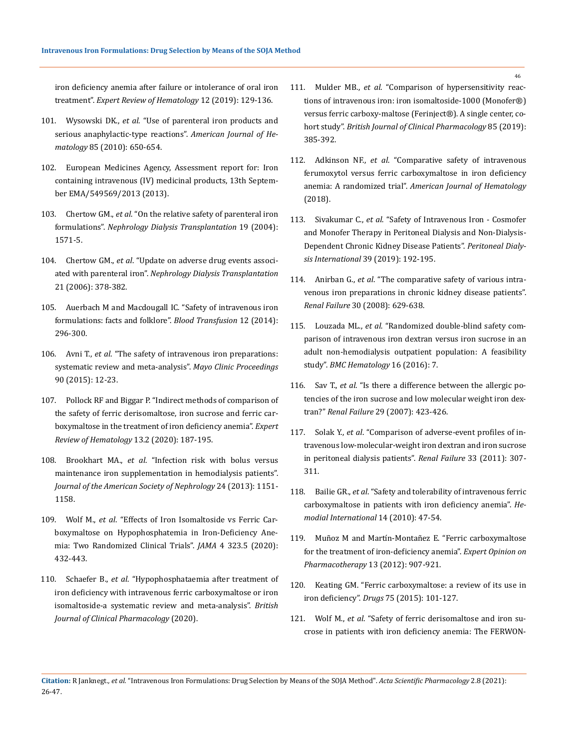[iron deficiency anemia after failure or intolerance of oral iron](https://pubmed.ncbi.nlm.nih.gov/30689458/)  treatment". *[Expert Review of Hematology](https://pubmed.ncbi.nlm.nih.gov/30689458/)* 12 (2019): 129-136.

- 101. Wysowski DK., *et al*[. "Use of parenteral iron products and](https://pubmed.ncbi.nlm.nih.gov/20661919/)  [serious anaphylactic-type reactions".](https://pubmed.ncbi.nlm.nih.gov/20661919/) *American Journal of Hematology* [85 \(2010\): 650-654.](https://pubmed.ncbi.nlm.nih.gov/20661919/)
- 102. [European Medicines Agency, Assessment report for: Iron](http://www.ema.europa.eu/docs/en_GB/document_library/Referrals_document/IV_iron_31/WC50)  [containing intravenous \(IV\) medicinal products, 13th Septem](http://www.ema.europa.eu/docs/en_GB/document_library/Referrals_document/IV_iron_31/WC50)[ber EMA/549569/2013 \(2013\).](http://www.ema.europa.eu/docs/en_GB/document_library/Referrals_document/IV_iron_31/WC50)
- 103. Chertow GM., *et al*[. "On the relative safety of parenteral iron](https://pubmed.ncbi.nlm.nih.gov/15150356/)  formulations". *[Nephrology Dialysis Transplantation](https://pubmed.ncbi.nlm.nih.gov/15150356/)* 19 (2004): [1571-5.](https://pubmed.ncbi.nlm.nih.gov/15150356/)
- 104. Chertow GM., *et al*[. "Update on adverse drug events associ](https://pubmed.ncbi.nlm.nih.gov/16286429/)ated with parenteral iron". *[Nephrology Dialysis Transplantation](https://pubmed.ncbi.nlm.nih.gov/16286429/)* [21 \(2006\): 378-382.](https://pubmed.ncbi.nlm.nih.gov/16286429/)
- 105. [Auerbach M and Macdougall IC. "Safety of intravenous iron](https://www.ncbi.nlm.nih.gov/pmc/articles/PMC4111808/)  [formulations: facts and folklore".](https://www.ncbi.nlm.nih.gov/pmc/articles/PMC4111808/) *Blood Transfusion* 12 (2014): [296-300.](https://www.ncbi.nlm.nih.gov/pmc/articles/PMC4111808/)
- 106. Avni T., *et al*[. "The safety of intravenous iron preparations:](https://pubmed.ncbi.nlm.nih.gov/25572192/)  [systematic review and meta-analysis".](https://pubmed.ncbi.nlm.nih.gov/25572192/) *Mayo Clinic Proceedings*  [90 \(2015\): 12-23.](https://pubmed.ncbi.nlm.nih.gov/25572192/)
- 107. [Pollock RF and Biggar P. "Indirect methods of comparison of](https://pubmed.ncbi.nlm.nih.gov/31928094/)  [the safety of ferric derisomaltose, iron sucrose and ferric car](https://pubmed.ncbi.nlm.nih.gov/31928094/)[boxymaltose in the treatment of iron deficiency anemia".](https://pubmed.ncbi.nlm.nih.gov/31928094/) *Expert [Review of Hematology](https://pubmed.ncbi.nlm.nih.gov/31928094/)* 13.2 (2020): 187-195.
- 108. Brookhart MA., *et al*[. "Infection risk with bolus versus](https://pubmed.ncbi.nlm.nih.gov/23787911/)  [maintenance iron supplementation in hemodialysis patients".](https://pubmed.ncbi.nlm.nih.gov/23787911/)  *[Journal of the American Society of Nephrology](https://pubmed.ncbi.nlm.nih.gov/23787911/)* 24 (2013): 1151- [1158.](https://pubmed.ncbi.nlm.nih.gov/23787911/)
- 109. Wolf M., *et al*[. "Effects of Iron Isomaltoside vs Ferric Car](https://jamanetwork.com/journals/jama/fullarticle/2760391)[boxymaltose on Hypophosphatemia in Iron-Deficiency Ane](https://jamanetwork.com/journals/jama/fullarticle/2760391)[mia: Two Randomized Clinical Trials".](https://jamanetwork.com/journals/jama/fullarticle/2760391) *JAMA* 4 323.5 (2020): [432-443.](https://jamanetwork.com/journals/jama/fullarticle/2760391)
- 110. Schaefer B., *et al*[. "Hypophosphataemia after treatment of](https://pubmed.ncbi.nlm.nih.gov/33188534/)  [iron deficiency with intravenous ferric carboxymaltose or iron](https://pubmed.ncbi.nlm.nih.gov/33188534/)  [isomaltoside-a systematic review and meta-analysis".](https://pubmed.ncbi.nlm.nih.gov/33188534/) *British [Journal of Clinical Pharmacology](https://pubmed.ncbi.nlm.nih.gov/33188534/)* (2020).
- 111. Mulder MB., *et al*[. "Comparison of hypersensitivity reac](https://pubmed.ncbi.nlm.nih.gov/30393904/)[tions of intravenous iron: iron isomaltoside-1000 \(Monofer®\)](https://pubmed.ncbi.nlm.nih.gov/30393904/) [versus ferric carboxy-maltose \(Ferinject®\). A single center, co](https://pubmed.ncbi.nlm.nih.gov/30393904/)hort study". *[British Journal of Clinical Pharmacology](https://pubmed.ncbi.nlm.nih.gov/30393904/)* 85 (2019): [385-392.](https://pubmed.ncbi.nlm.nih.gov/30393904/)
- 112. Adkinson NF., *et al*[. "Comparative safety of intravenous](https://pubmed.ncbi.nlm.nih.gov/29417614/) [ferumoxytol versus ferric carboxymaltose in iron deficiency](https://pubmed.ncbi.nlm.nih.gov/29417614/) anemia: A randomized trial". *[American Journal of Hematology](https://pubmed.ncbi.nlm.nih.gov/29417614/)* [\(2018\).](https://pubmed.ncbi.nlm.nih.gov/29417614/)
- 113. Sivakumar C., *et al*[. "Safety of Intravenous Iron Cosmofer](https://pubmed.ncbi.nlm.nih.gov/30858290/) [and Monofer Therapy in Peritoneal Dialysis and Non-Dialysis-](https://pubmed.ncbi.nlm.nih.gov/30858290/)[Dependent Chronic Kidney Disease Patients".](https://pubmed.ncbi.nlm.nih.gov/30858290/) *Peritoneal Dialysis International* [39 \(2019\): 192-195.](https://pubmed.ncbi.nlm.nih.gov/30858290/)
- 114. Anirban G., *et al*[. "The comparative safety of various intra](https://pubmed.ncbi.nlm.nih.gov/18661414/)[venous iron preparations in chronic kidney disease patients".](https://pubmed.ncbi.nlm.nih.gov/18661414/) *Renal Failure* [30 \(2008\): 629-638.](https://pubmed.ncbi.nlm.nih.gov/18661414/)
- 115. Louzada ML., *et al*[. "Randomized double-blind safety com](https://www.ncbi.nlm.nih.gov/pmc/articles/PMC4788943/)[parison of intravenous iron dextran versus iron sucrose in an](https://www.ncbi.nlm.nih.gov/pmc/articles/PMC4788943/) [adult non-hemodialysis outpatient population: A feasibility](https://www.ncbi.nlm.nih.gov/pmc/articles/PMC4788943/) study". *[BMC Hematology](https://www.ncbi.nlm.nih.gov/pmc/articles/PMC4788943/)* 16 (2016): 7.
- 116. Sav T., *et al*[. "Is there a difference between the allergic po](https://pubmed.ncbi.nlm.nih.gov/17497463/)[tencies of the iron sucrose and low molecular weight iron dex](https://pubmed.ncbi.nlm.nih.gov/17497463/)tran?" *Renal Failure* [29 \(2007\): 423-426.](https://pubmed.ncbi.nlm.nih.gov/17497463/)
- 117. Solak Y., *et al*[. "Comparison of adverse-event profiles of in](https://pubmed.ncbi.nlm.nih.gov/21401355/)[travenous low-molecular-weight iron dextran and iron sucrose](https://pubmed.ncbi.nlm.nih.gov/21401355/) [in peritoneal dialysis patients".](https://pubmed.ncbi.nlm.nih.gov/21401355/) *Renal Failure* 33 (2011): 307- [311.](https://pubmed.ncbi.nlm.nih.gov/21401355/)
- 118. Bailie GR., *et al*[. "Safety and tolerability of intravenous ferric](https://pubmed.ncbi.nlm.nih.gov/19888949/) [carboxymaltose in patients with iron deficiency anemia".](https://pubmed.ncbi.nlm.nih.gov/19888949/) *He[modial International](https://pubmed.ncbi.nlm.nih.gov/19888949/)* 14 (2010): 47-54.
- 119. [Muñoz M and Martín-Montañez E. "Ferric carboxymaltose](https://pubmed.ncbi.nlm.nih.gov/22413903/) [for the treatment of iron-deficiency anemia".](https://pubmed.ncbi.nlm.nih.gov/22413903/) *Expert Opinion on [Pharmacotherapy](https://pubmed.ncbi.nlm.nih.gov/22413903/)* 13 (2012): 907-921.
- 120. [Keating GM. "Ferric carboxymaltose: a review of its use in](https://pubmed.ncbi.nlm.nih.gov/25428711/) iron deficiency". *Drugs* [75 \(2015\): 101-127.](https://pubmed.ncbi.nlm.nih.gov/25428711/)
- 121. Wolf M., *et al*[. "Safety of ferric derisomaltose and iron su](https://pubmed.ncbi.nlm.nih.gov/33027541/)[crose in patients with iron deficiency anemia: The FERWON-](https://pubmed.ncbi.nlm.nih.gov/33027541/)

**Citation:** R Janknegt*., et al.* "Intravenous Iron Formulations: Drug Selection by Means of the SOJA Method". *Acta Scientific Pharmacology* 2.8 (2021): 26-47.